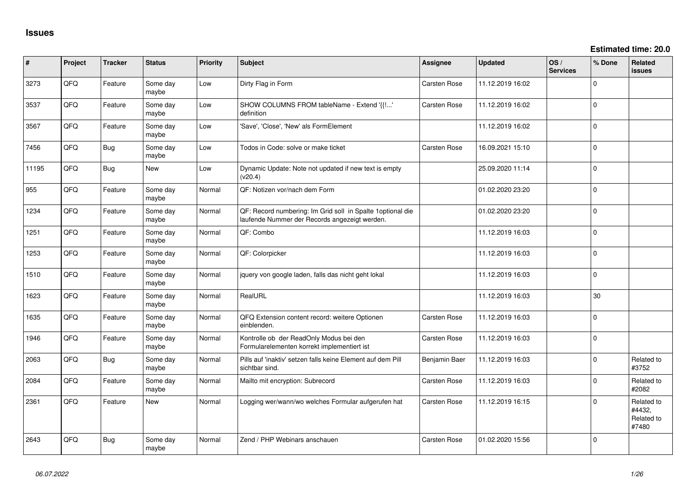| #     | Project | <b>Tracker</b> | <b>Status</b>     | <b>Priority</b> | Subject                                                                                                      | <b>Assignee</b>     | <b>Updated</b>   | OS/<br><b>Services</b> | % Done      | Related<br><b>issues</b>                    |
|-------|---------|----------------|-------------------|-----------------|--------------------------------------------------------------------------------------------------------------|---------------------|------------------|------------------------|-------------|---------------------------------------------|
| 3273  | QFQ     | Feature        | Some day<br>maybe | Low             | Dirty Flag in Form                                                                                           | Carsten Rose        | 11.12.2019 16:02 |                        | $\Omega$    |                                             |
| 3537  | QFQ     | Feature        | Some day<br>maybe | Low             | SHOW COLUMNS FROM tableName - Extend '{{!'<br>definition                                                     | <b>Carsten Rose</b> | 11.12.2019 16:02 |                        | $\mathbf 0$ |                                             |
| 3567  | QFQ     | Feature        | Some day<br>maybe | Low             | 'Save', 'Close', 'New' als FormElement                                                                       |                     | 11.12.2019 16:02 |                        | $\mathbf 0$ |                                             |
| 7456  | QFQ     | <b>Bug</b>     | Some day<br>maybe | Low             | Todos in Code: solve or make ticket                                                                          | <b>Carsten Rose</b> | 16.09.2021 15:10 |                        | 0           |                                             |
| 11195 | QFQ     | Bug            | New               | Low             | Dynamic Update: Note not updated if new text is empty<br>(v20.4)                                             |                     | 25.09.2020 11:14 |                        | $\Omega$    |                                             |
| 955   | QFQ     | Feature        | Some day<br>maybe | Normal          | QF: Notizen vor/nach dem Form                                                                                |                     | 01.02.2020 23:20 |                        | $\mathbf 0$ |                                             |
| 1234  | QFQ     | Feature        | Some day<br>maybe | Normal          | QF: Record numbering: Im Grid soll in Spalte 1 optional die<br>laufende Nummer der Records angezeigt werden. |                     | 01.02.2020 23:20 |                        | $\Omega$    |                                             |
| 1251  | QFQ     | Feature        | Some day<br>maybe | Normal          | QF: Combo                                                                                                    |                     | 11.12.2019 16:03 |                        | $\mathbf 0$ |                                             |
| 1253  | QFQ     | Feature        | Some day<br>maybe | Normal          | QF: Colorpicker                                                                                              |                     | 11.12.2019 16:03 |                        | $\Omega$    |                                             |
| 1510  | QFQ     | Feature        | Some day<br>maybe | Normal          | jquery von google laden, falls das nicht geht lokal                                                          |                     | 11.12.2019 16:03 |                        | $\mathbf 0$ |                                             |
| 1623  | QFQ     | Feature        | Some day<br>maybe | Normal          | RealURL                                                                                                      |                     | 11.12.2019 16:03 |                        | 30          |                                             |
| 1635  | QFQ     | Feature        | Some day<br>maybe | Normal          | QFQ Extension content record: weitere Optionen<br>einblenden.                                                | <b>Carsten Rose</b> | 11.12.2019 16:03 |                        | $\mathbf 0$ |                                             |
| 1946  | QFQ     | Feature        | Some day<br>maybe | Normal          | Kontrolle ob der ReadOnly Modus bei den<br>Formularelementen korrekt implementiert ist                       | Carsten Rose        | 11.12.2019 16:03 |                        | $\Omega$    |                                             |
| 2063  | QFQ     | Bug            | Some day<br>maybe | Normal          | Pills auf 'inaktiv' setzen falls keine Element auf dem Pill<br>sichtbar sind.                                | Benjamin Baer       | 11.12.2019 16:03 |                        | $\mathbf 0$ | Related to<br>#3752                         |
| 2084  | QFQ     | Feature        | Some day<br>maybe | Normal          | Mailto mit encryption: Subrecord                                                                             | Carsten Rose        | 11.12.2019 16:03 |                        | $\Omega$    | Related to<br>#2082                         |
| 2361  | QFQ     | Feature        | <b>New</b>        | Normal          | Logging wer/wann/wo welches Formular aufgerufen hat                                                          | <b>Carsten Rose</b> | 11.12.2019 16:15 |                        | $\Omega$    | Related to<br>#4432,<br>Related to<br>#7480 |
| 2643  | QFQ     | Bug            | Some day<br>maybe | Normal          | Zend / PHP Webinars anschauen                                                                                | <b>Carsten Rose</b> | 01.02.2020 15:56 |                        | $\Omega$    |                                             |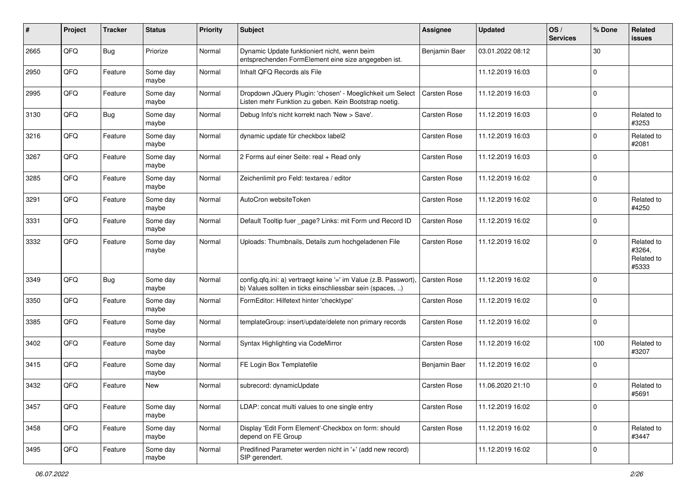| ∦    | Project | <b>Tracker</b> | <b>Status</b>     | Priority | Subject                                                                                                                       | Assignee            | <b>Updated</b>   | OS/<br><b>Services</b> | % Done      | Related<br><b>issues</b>                    |
|------|---------|----------------|-------------------|----------|-------------------------------------------------------------------------------------------------------------------------------|---------------------|------------------|------------------------|-------------|---------------------------------------------|
| 2665 | QFQ     | Bug            | Priorize          | Normal   | Dynamic Update funktioniert nicht, wenn beim<br>entsprechenden FormElement eine size angegeben ist.                           | Benjamin Baer       | 03.01.2022 08:12 |                        | 30          |                                             |
| 2950 | QFQ     | Feature        | Some day<br>maybe | Normal   | Inhalt QFQ Records als File                                                                                                   |                     | 11.12.2019 16:03 |                        | $\mathbf 0$ |                                             |
| 2995 | QFQ     | Feature        | Some day<br>maybe | Normal   | Dropdown JQuery Plugin: 'chosen' - Moeglichkeit um Select<br>Listen mehr Funktion zu geben. Kein Bootstrap noetig.            | Carsten Rose        | 11.12.2019 16:03 |                        | $\Omega$    |                                             |
| 3130 | QFQ     | Bug            | Some day<br>maybe | Normal   | Debug Info's nicht korrekt nach 'New > Save'.                                                                                 | Carsten Rose        | 11.12.2019 16:03 |                        | $\Omega$    | Related to<br>#3253                         |
| 3216 | QFQ     | Feature        | Some day<br>maybe | Normal   | dynamic update für checkbox label2                                                                                            | <b>Carsten Rose</b> | 11.12.2019 16:03 |                        | $\Omega$    | Related to<br>#2081                         |
| 3267 | QFQ     | Feature        | Some day<br>maybe | Normal   | 2 Forms auf einer Seite: real + Read only                                                                                     | Carsten Rose        | 11.12.2019 16:03 |                        | $\Omega$    |                                             |
| 3285 | QFQ     | Feature        | Some day<br>maybe | Normal   | Zeichenlimit pro Feld: textarea / editor                                                                                      | Carsten Rose        | 11.12.2019 16:02 |                        | $\Omega$    |                                             |
| 3291 | QFQ     | Feature        | Some day<br>maybe | Normal   | AutoCron websiteToken                                                                                                         | Carsten Rose        | 11.12.2019 16:02 |                        | $\Omega$    | Related to<br>#4250                         |
| 3331 | QFQ     | Feature        | Some day<br>maybe | Normal   | Default Tooltip fuer _page? Links: mit Form und Record ID                                                                     | Carsten Rose        | 11.12.2019 16:02 |                        | $\mathbf 0$ |                                             |
| 3332 | QFQ     | Feature        | Some day<br>maybe | Normal   | Uploads: Thumbnails, Details zum hochgeladenen File                                                                           | Carsten Rose        | 11.12.2019 16:02 |                        | $\Omega$    | Related to<br>#3264,<br>Related to<br>#5333 |
| 3349 | QFQ     | Bug            | Some day<br>maybe | Normal   | config.qfq.ini: a) vertraegt keine '=' im Value (z.B. Passwort).<br>b) Values sollten in ticks einschliessbar sein (spaces, ) | <b>Carsten Rose</b> | 11.12.2019 16:02 |                        | $\mathbf 0$ |                                             |
| 3350 | QFQ     | Feature        | Some day<br>maybe | Normal   | FormEditor: Hilfetext hinter 'checktype'                                                                                      | Carsten Rose        | 11.12.2019 16:02 |                        | $\Omega$    |                                             |
| 3385 | QFQ     | Feature        | Some day<br>maybe | Normal   | templateGroup: insert/update/delete non primary records                                                                       | Carsten Rose        | 11.12.2019 16:02 |                        | $\Omega$    |                                             |
| 3402 | QFQ     | Feature        | Some day<br>maybe | Normal   | Syntax Highlighting via CodeMirror                                                                                            | Carsten Rose        | 11.12.2019 16:02 |                        | 100         | Related to<br>#3207                         |
| 3415 | QFQ     | Feature        | Some day<br>maybe | Normal   | FE Login Box Templatefile                                                                                                     | Benjamin Baer       | 11.12.2019 16:02 |                        | $\mathbf 0$ |                                             |
| 3432 | QFQ     | Feature        | <b>New</b>        | Normal   | subrecord: dynamicUpdate                                                                                                      | Carsten Rose        | 11.06.2020 21:10 |                        | $\Omega$    | Related to<br>#5691                         |
| 3457 | QFQ     | Feature        | Some day<br>maybe | Normal   | LDAP: concat multi values to one single entry                                                                                 | Carsten Rose        | 11.12.2019 16:02 |                        | $\mathbf 0$ |                                             |
| 3458 | QFQ     | Feature        | Some day<br>maybe | Normal   | Display 'Edit Form Element'-Checkbox on form: should<br>depend on FE Group                                                    | Carsten Rose        | 11.12.2019 16:02 |                        | $\mathbf 0$ | Related to<br>#3447                         |
| 3495 | QFQ     | Feature        | Some day<br>maybe | Normal   | Predifined Parameter werden nicht in '+' (add new record)<br>SIP gerendert.                                                   |                     | 11.12.2019 16:02 |                        | 0           |                                             |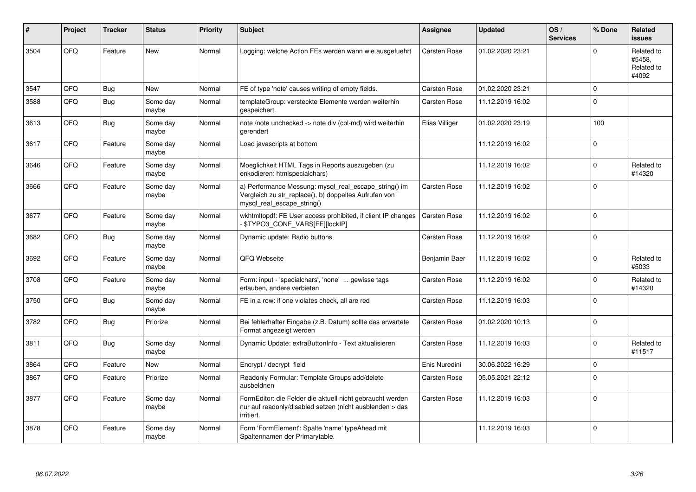| $\vert$ # | Project | <b>Tracker</b> | <b>Status</b>     | Priority | <b>Subject</b>                                                                                                                               | <b>Assignee</b>     | <b>Updated</b>   | OS/<br><b>Services</b> | % Done      | Related<br><b>issues</b>                    |
|-----------|---------|----------------|-------------------|----------|----------------------------------------------------------------------------------------------------------------------------------------------|---------------------|------------------|------------------------|-------------|---------------------------------------------|
| 3504      | QFQ     | Feature        | <b>New</b>        | Normal   | Logging: welche Action FEs werden wann wie ausgefuehrt                                                                                       | <b>Carsten Rose</b> | 01.02.2020 23:21 |                        | $\Omega$    | Related to<br>#5458,<br>Related to<br>#4092 |
| 3547      | QFQ     | <b>Bug</b>     | New               | Normal   | FE of type 'note' causes writing of empty fields.                                                                                            | <b>Carsten Rose</b> | 01.02.2020 23:21 |                        | $\mathbf 0$ |                                             |
| 3588      | QFQ     | <b>Bug</b>     | Some day<br>maybe | Normal   | templateGroup: versteckte Elemente werden weiterhin<br>gespeichert.                                                                          | Carsten Rose        | 11.12.2019 16:02 |                        | $\Omega$    |                                             |
| 3613      | QFQ     | <b>Bug</b>     | Some day<br>maybe | Normal   | note /note unchecked -> note div (col-md) wird weiterhin<br>gerendert                                                                        | Elias Villiger      | 01.02.2020 23:19 |                        | 100         |                                             |
| 3617      | QFQ     | Feature        | Some day<br>maybe | Normal   | Load javascripts at bottom                                                                                                                   |                     | 11.12.2019 16:02 |                        | $\mathbf 0$ |                                             |
| 3646      | QFQ     | Feature        | Some day<br>maybe | Normal   | Moeglichkeit HTML Tags in Reports auszugeben (zu<br>enkodieren: htmlspecialchars)                                                            |                     | 11.12.2019 16:02 |                        | $\Omega$    | Related to<br>#14320                        |
| 3666      | QFQ     | Feature        | Some day<br>maybe | Normal   | a) Performance Messung: mysql real escape string() im<br>Vergleich zu str replace(), b) doppeltes Aufrufen von<br>mysql real escape string() | <b>Carsten Rose</b> | 11.12.2019 16:02 |                        | $\Omega$    |                                             |
| 3677      | QFQ     | Feature        | Some day<br>maybe | Normal   | wkhtmitopdf: FE User access prohibited, if client IP changes<br>\$TYPO3_CONF_VARS[FE][lockIP]                                                | <b>Carsten Rose</b> | 11.12.2019 16:02 |                        | $\Omega$    |                                             |
| 3682      | QFQ     | <b>Bug</b>     | Some day<br>maybe | Normal   | Dynamic update: Radio buttons                                                                                                                | Carsten Rose        | 11.12.2019 16:02 |                        | $\Omega$    |                                             |
| 3692      | QFQ     | Feature        | Some day<br>maybe | Normal   | QFQ Webseite                                                                                                                                 | Benjamin Baer       | 11.12.2019 16:02 |                        | $\Omega$    | Related to<br>#5033                         |
| 3708      | QFQ     | Feature        | Some day<br>maybe | Normal   | Form: input - 'specialchars', 'none'  gewisse tags<br>erlauben, andere verbieten                                                             | <b>Carsten Rose</b> | 11.12.2019 16:02 |                        | $\Omega$    | Related to<br>#14320                        |
| 3750      | QFQ     | Bug            | Some day<br>maybe | Normal   | FE in a row: if one violates check, all are red                                                                                              | <b>Carsten Rose</b> | 11.12.2019 16:03 |                        | $\Omega$    |                                             |
| 3782      | QFQ     | <b>Bug</b>     | Priorize          | Normal   | Bei fehlerhafter Eingabe (z.B. Datum) sollte das erwartete<br>Format angezeigt werden                                                        | <b>Carsten Rose</b> | 01.02.2020 10:13 |                        | $\Omega$    |                                             |
| 3811      | QFQ     | <b>Bug</b>     | Some day<br>maybe | Normal   | Dynamic Update: extraButtonInfo - Text aktualisieren                                                                                         | <b>Carsten Rose</b> | 11.12.2019 16:03 |                        | $\Omega$    | Related to<br>#11517                        |
| 3864      | QFQ     | Feature        | <b>New</b>        | Normal   | Encrypt / decrypt field                                                                                                                      | Enis Nuredini       | 30.06.2022 16:29 |                        | $\Omega$    |                                             |
| 3867      | QFQ     | Feature        | Priorize          | Normal   | Readonly Formular: Template Groups add/delete<br>ausbeldnen                                                                                  | <b>Carsten Rose</b> | 05.05.2021 22:12 |                        | $\Omega$    |                                             |
| 3877      | QFQ     | Feature        | Some day<br>maybe | Normal   | FormEditor: die Felder die aktuell nicht gebraucht werden<br>nur auf readonly/disabled setzen (nicht ausblenden > das<br>irritiert.          | <b>Carsten Rose</b> | 11.12.2019 16:03 |                        | $\Omega$    |                                             |
| 3878      | QFQ     | Feature        | Some day<br>maybe | Normal   | Form 'FormElement': Spalte 'name' typeAhead mit<br>Spaltennamen der Primarytable.                                                            |                     | 11.12.2019 16:03 |                        | $\Omega$    |                                             |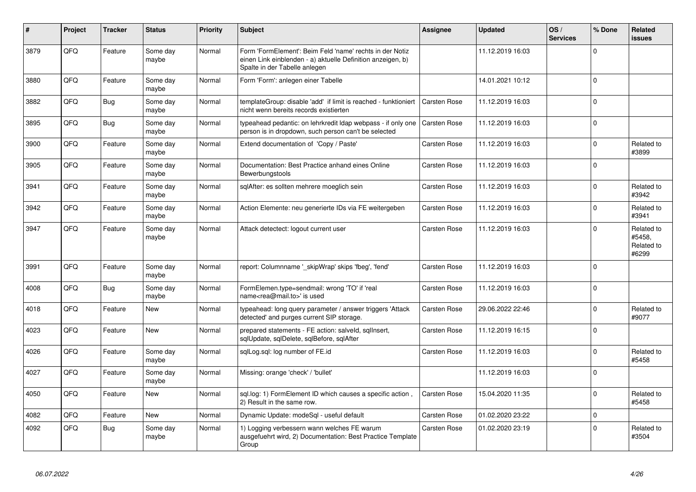| #    | Project | <b>Tracker</b> | <b>Status</b>     | <b>Priority</b> | <b>Subject</b>                                                                                                                                           | Assignee            | <b>Updated</b>   | OS/<br><b>Services</b> | % Done      | Related<br><b>issues</b>                    |
|------|---------|----------------|-------------------|-----------------|----------------------------------------------------------------------------------------------------------------------------------------------------------|---------------------|------------------|------------------------|-------------|---------------------------------------------|
| 3879 | QFQ     | Feature        | Some day<br>maybe | Normal          | Form 'FormElement': Beim Feld 'name' rechts in der Notiz<br>einen Link einblenden - a) aktuelle Definition anzeigen, b)<br>Spalte in der Tabelle anlegen |                     | 11.12.2019 16:03 |                        | $\Omega$    |                                             |
| 3880 | QFQ     | Feature        | Some day<br>maybe | Normal          | Form 'Form': anlegen einer Tabelle                                                                                                                       |                     | 14.01.2021 10:12 |                        | $\Omega$    |                                             |
| 3882 | QFQ     | <b>Bug</b>     | Some day<br>maybe | Normal          | templateGroup: disable 'add' if limit is reached - funktioniert<br>nicht wenn bereits records existierten                                                | <b>Carsten Rose</b> | 11.12.2019 16:03 |                        | $\Omega$    |                                             |
| 3895 | QFQ     | <b>Bug</b>     | Some day<br>maybe | Normal          | typeahead pedantic: on lehrkredit Idap webpass - if only one<br>person is in dropdown, such person can't be selected                                     | Carsten Rose        | 11.12.2019 16:03 |                        | $\Omega$    |                                             |
| 3900 | QFQ     | Feature        | Some day<br>maybe | Normal          | Extend documentation of 'Copy / Paste'                                                                                                                   | Carsten Rose        | 11.12.2019 16:03 |                        | $\Omega$    | Related to<br>#3899                         |
| 3905 | QFQ     | Feature        | Some day<br>maybe | Normal          | Documentation: Best Practice anhand eines Online<br>Bewerbungstools                                                                                      | Carsten Rose        | 11.12.2019 16:03 |                        | $\Omega$    |                                             |
| 3941 | QFQ     | Feature        | Some day<br>maybe | Normal          | sqlAfter: es sollten mehrere moeglich sein                                                                                                               | Carsten Rose        | 11.12.2019 16:03 |                        | $\Omega$    | Related to<br>#3942                         |
| 3942 | QFQ     | Feature        | Some day<br>maybe | Normal          | Action Elemente: neu generierte IDs via FE weitergeben                                                                                                   | Carsten Rose        | 11.12.2019 16:03 |                        | $\Omega$    | Related to<br>#3941                         |
| 3947 | QFQ     | Feature        | Some day<br>maybe | Normal          | Attack detectect: logout current user                                                                                                                    | Carsten Rose        | 11.12.2019 16:03 |                        | $\Omega$    | Related to<br>#5458,<br>Related to<br>#6299 |
| 3991 | QFQ     | Feature        | Some day<br>maybe | Normal          | report: Columnname ' skipWrap' skips 'fbeg', 'fend'                                                                                                      | Carsten Rose        | 11.12.2019 16:03 |                        | $\Omega$    |                                             |
| 4008 | QFQ     | <b>Bug</b>     | Some day<br>maybe | Normal          | FormElemen.type=sendmail: wrong 'TO' if 'real<br>name <rea@mail.to>' is used</rea@mail.to>                                                               | <b>Carsten Rose</b> | 11.12.2019 16:03 |                        | $\Omega$    |                                             |
| 4018 | QFQ     | Feature        | New               | Normal          | typeahead: long query parameter / answer triggers 'Attack<br>detected' and purges current SIP storage.                                                   | Carsten Rose        | 29.06.2022 22:46 |                        | $\Omega$    | Related to<br>#9077                         |
| 4023 | QFQ     | Feature        | <b>New</b>        | Normal          | prepared statements - FE action: salveld, sgllnsert,<br>sqlUpdate, sqlDelete, sqlBefore, sqlAfter                                                        | Carsten Rose        | 11.12.2019 16:15 |                        | $\Omega$    |                                             |
| 4026 | QFQ     | Feature        | Some day<br>maybe | Normal          | sqlLog.sql: log number of FE.id                                                                                                                          | <b>Carsten Rose</b> | 11.12.2019 16:03 |                        | $\Omega$    | Related to<br>#5458                         |
| 4027 | QFQ     | Feature        | Some day<br>maybe | Normal          | Missing: orange 'check' / 'bullet'                                                                                                                       |                     | 11.12.2019 16:03 |                        | $\Omega$    |                                             |
| 4050 | QFQ     | Feature        | New               | Normal          | sql.log: 1) FormElement ID which causes a specific action,<br>2) Result in the same row.                                                                 | Carsten Rose        | 15.04.2020 11:35 |                        | $\Omega$    | Related to<br>#5458                         |
| 4082 | QFQ     | Feature        | <b>New</b>        | Normal          | Dynamic Update: modeSql - useful default                                                                                                                 | Carsten Rose        | 01.02.2020 23:22 |                        | $\mathbf 0$ |                                             |
| 4092 | QFQ     | <b>Bug</b>     | Some day<br>maybe | Normal          | 1) Logging verbessern wann welches FE warum<br>ausgefuehrt wird, 2) Documentation: Best Practice Template<br>Group                                       | Carsten Rose        | 01.02.2020 23:19 |                        | $\Omega$    | Related to<br>#3504                         |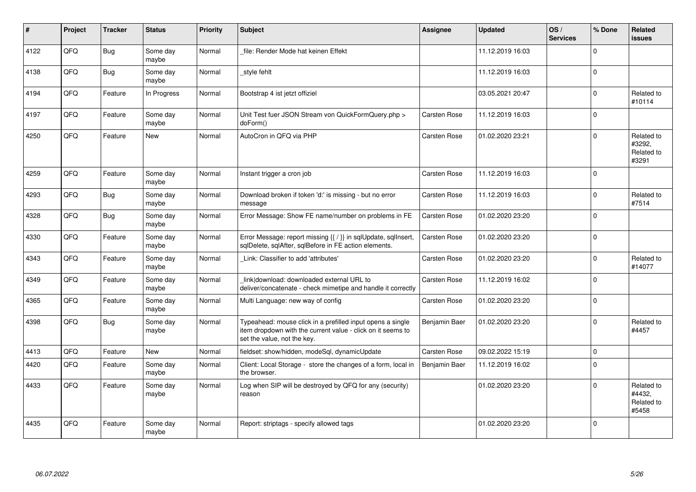| ∦    | Project    | <b>Tracker</b> | <b>Status</b>     | <b>Priority</b> | <b>Subject</b>                                                                                                                                           | Assignee            | <b>Updated</b>   | OS/<br><b>Services</b> | % Done   | Related<br>issues                           |
|------|------------|----------------|-------------------|-----------------|----------------------------------------------------------------------------------------------------------------------------------------------------------|---------------------|------------------|------------------------|----------|---------------------------------------------|
| 4122 | QFQ        | Bug            | Some day<br>maybe | Normal          | file: Render Mode hat keinen Effekt                                                                                                                      |                     | 11.12.2019 16:03 |                        | $\Omega$ |                                             |
| 4138 | QFQ        | Bug            | Some day<br>maybe | Normal          | style fehlt                                                                                                                                              |                     | 11.12.2019 16:03 |                        | $\Omega$ |                                             |
| 4194 | QFQ        | Feature        | In Progress       | Normal          | Bootstrap 4 ist jetzt offiziel                                                                                                                           |                     | 03.05.2021 20:47 |                        | $\Omega$ | Related to<br>#10114                        |
| 4197 | QFQ        | Feature        | Some day<br>maybe | Normal          | Unit Test fuer JSON Stream von QuickFormQuery.php ><br>doForm()                                                                                          | <b>Carsten Rose</b> | 11.12.2019 16:03 |                        | $\Omega$ |                                             |
| 4250 | QFQ        | Feature        | <b>New</b>        | Normal          | AutoCron in QFQ via PHP                                                                                                                                  | <b>Carsten Rose</b> | 01.02.2020 23:21 |                        | $\Omega$ | Related to<br>#3292,<br>Related to<br>#3291 |
| 4259 | QFQ        | Feature        | Some day<br>maybe | Normal          | Instant trigger a cron job                                                                                                                               | Carsten Rose        | 11.12.2019 16:03 |                        | $\Omega$ |                                             |
| 4293 | QFQ        | Bug            | Some day<br>maybe | Normal          | Download broken if token 'd:' is missing - but no error<br>message                                                                                       | Carsten Rose        | 11.12.2019 16:03 |                        | $\Omega$ | Related to<br>#7514                         |
| 4328 | QFQ        | Bug            | Some day<br>maybe | Normal          | Error Message: Show FE name/number on problems in FE                                                                                                     | Carsten Rose        | 01.02.2020 23:20 |                        | $\Omega$ |                                             |
| 4330 | QFQ        | Feature        | Some day<br>maybe | Normal          | Error Message: report missing {{ / }} in sqlUpdate, sqlInsert,<br>sqlDelete, sqlAfter, sqlBefore in FE action elements.                                  | <b>Carsten Rose</b> | 01.02.2020 23:20 |                        | $\Omega$ |                                             |
| 4343 | QFQ        | Feature        | Some day<br>maybe | Normal          | Link: Classifier to add 'attributes'                                                                                                                     | <b>Carsten Rose</b> | 01.02.2020 23:20 |                        | $\Omega$ | Related to<br>#14077                        |
| 4349 | QFQ        | Feature        | Some day<br>maybe | Normal          | link download: downloaded external URL to<br>deliver/concatenate - check mimetipe and handle it correctly                                                | <b>Carsten Rose</b> | 11.12.2019 16:02 |                        | $\Omega$ |                                             |
| 4365 | <b>OFO</b> | Feature        | Some day<br>maybe | Normal          | Multi Language: new way of config                                                                                                                        | Carsten Rose        | 01.02.2020 23:20 |                        | $\Omega$ |                                             |
| 4398 | QFQ        | Bug            | Some day<br>maybe | Normal          | Typeahead: mouse click in a prefilled input opens a single<br>item dropdown with the current value - click on it seems to<br>set the value, not the key. | Benjamin Baer       | 01.02.2020 23:20 |                        | $\Omega$ | Related to<br>#4457                         |
| 4413 | QFQ        | Feature        | New               | Normal          | fieldset: show/hidden, modeSql, dynamicUpdate                                                                                                            | <b>Carsten Rose</b> | 09.02.2022 15:19 |                        | $\Omega$ |                                             |
| 4420 | QFQ        | Feature        | Some day<br>maybe | Normal          | Client: Local Storage - store the changes of a form, local in<br>the browser.                                                                            | Benjamin Baer       | 11.12.2019 16:02 |                        | $\Omega$ |                                             |
| 4433 | QFQ        | Feature        | Some day<br>maybe | Normal          | Log when SIP will be destroyed by QFQ for any (security)<br>reason                                                                                       |                     | 01.02.2020 23:20 |                        | $\Omega$ | Related to<br>#4432,<br>Related to<br>#5458 |
| 4435 | QFQ        | Feature        | Some day<br>maybe | Normal          | Report: striptags - specify allowed tags                                                                                                                 |                     | 01.02.2020 23:20 |                        | $\Omega$ |                                             |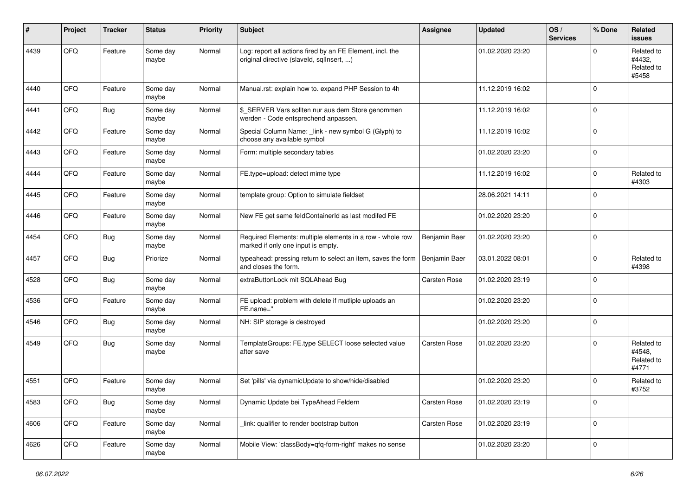| ∦    | Project | <b>Tracker</b> | <b>Status</b>     | Priority | <b>Subject</b>                                                                                         | Assignee      | <b>Updated</b>   | OS/<br><b>Services</b> | % Done      | Related<br><b>issues</b>                    |
|------|---------|----------------|-------------------|----------|--------------------------------------------------------------------------------------------------------|---------------|------------------|------------------------|-------------|---------------------------------------------|
| 4439 | QFQ     | Feature        | Some day<br>maybe | Normal   | Log: report all actions fired by an FE Element, incl. the<br>original directive (slaveld, sqlInsert, ) |               | 01.02.2020 23:20 |                        | $\Omega$    | Related to<br>#4432,<br>Related to<br>#5458 |
| 4440 | QFQ     | Feature        | Some day<br>maybe | Normal   | Manual.rst: explain how to. expand PHP Session to 4h                                                   |               | 11.12.2019 16:02 |                        | $\Omega$    |                                             |
| 4441 | QFQ     | Bug            | Some day<br>maybe | Normal   | \$_SERVER Vars sollten nur aus dem Store genommen<br>werden - Code entsprechend anpassen.              |               | 11.12.2019 16:02 |                        | $\mathbf 0$ |                                             |
| 4442 | QFQ     | Feature        | Some day<br>maybe | Normal   | Special Column Name: _link - new symbol G (Glyph) to<br>choose any available symbol                    |               | 11.12.2019 16:02 |                        | $\mathbf 0$ |                                             |
| 4443 | QFQ     | Feature        | Some day<br>maybe | Normal   | Form: multiple secondary tables                                                                        |               | 01.02.2020 23:20 |                        | $\Omega$    |                                             |
| 4444 | QFQ     | Feature        | Some day<br>maybe | Normal   | FE.type=upload: detect mime type                                                                       |               | 11.12.2019 16:02 |                        | $\Omega$    | Related to<br>#4303                         |
| 4445 | QFQ     | Feature        | Some day<br>maybe | Normal   | template group: Option to simulate fieldset                                                            |               | 28.06.2021 14:11 |                        | $\Omega$    |                                             |
| 4446 | QFQ     | Feature        | Some day<br>maybe | Normal   | New FE get same feldContainerId as last modifed FE                                                     |               | 01.02.2020 23:20 |                        | $\Omega$    |                                             |
| 4454 | QFQ     | Bug            | Some day<br>maybe | Normal   | Required Elements: multiple elements in a row - whole row<br>marked if only one input is empty.        | Benjamin Baer | 01.02.2020 23:20 |                        | $\Omega$    |                                             |
| 4457 | QFQ     | Bug            | Priorize          | Normal   | typeahead: pressing return to select an item, saves the form<br>and closes the form.                   | Benjamin Baer | 03.01.2022 08:01 |                        | $\Omega$    | Related to<br>#4398                         |
| 4528 | QFQ     | Bug            | Some day<br>maybe | Normal   | extraButtonLock mit SQLAhead Bug                                                                       | Carsten Rose  | 01.02.2020 23:19 |                        | $\mathbf 0$ |                                             |
| 4536 | QFQ     | Feature        | Some day<br>maybe | Normal   | FE upload: problem with delete if mutliple uploads an<br>FE.name="                                     |               | 01.02.2020 23:20 |                        | $\Omega$    |                                             |
| 4546 | QFQ     | Bug            | Some day<br>maybe | Normal   | NH: SIP storage is destroyed                                                                           |               | 01.02.2020 23:20 |                        | $\Omega$    |                                             |
| 4549 | QFQ     | Bug            | Some day<br>maybe | Normal   | TemplateGroups: FE.type SELECT loose selected value<br>after save                                      | Carsten Rose  | 01.02.2020 23:20 |                        | $\Omega$    | Related to<br>#4548,<br>Related to<br>#4771 |
| 4551 | QFQ     | Feature        | Some day<br>maybe | Normal   | Set 'pills' via dynamicUpdate to show/hide/disabled                                                    |               | 01.02.2020 23:20 |                        | $\Omega$    | Related to<br>#3752                         |
| 4583 | QFG     | <b>Bug</b>     | Some day<br>maybe | Normal   | Dynamic Update bei TypeAhead Feldern                                                                   | Carsten Rose  | 01.02.2020 23:19 |                        | $\mathbf 0$ |                                             |
| 4606 | QFQ     | Feature        | Some day<br>maybe | Normal   | link: qualifier to render bootstrap button                                                             | Carsten Rose  | 01.02.2020 23:19 |                        | 0           |                                             |
| 4626 | QFG     | Feature        | Some day<br>maybe | Normal   | Mobile View: 'classBody=qfq-form-right' makes no sense                                                 |               | 01.02.2020 23:20 |                        | $\mathbf 0$ |                                             |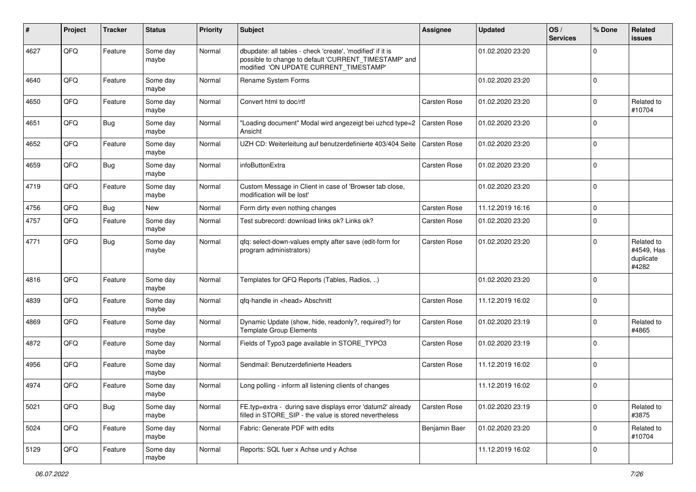| ∦    | Project | <b>Tracker</b> | <b>Status</b>     | <b>Priority</b> | Subject                                                                                                                                                       | <b>Assignee</b>     | <b>Updated</b>   | OS/<br><b>Services</b> | % Done      | Related<br>issues                              |
|------|---------|----------------|-------------------|-----------------|---------------------------------------------------------------------------------------------------------------------------------------------------------------|---------------------|------------------|------------------------|-------------|------------------------------------------------|
| 4627 | QFQ     | Feature        | Some day<br>maybe | Normal          | dbupdate: all tables - check 'create', 'modified' if it is<br>possible to change to default 'CURRENT_TIMESTAMP' and<br>modified 'ON UPDATE CURRENT TIMESTAMP' |                     | 01.02.2020 23:20 |                        | 0           |                                                |
| 4640 | QFQ     | Feature        | Some day<br>maybe | Normal          | Rename System Forms                                                                                                                                           |                     | 01.02.2020 23:20 |                        | $\mathbf 0$ |                                                |
| 4650 | QFQ     | Feature        | Some day<br>maybe | Normal          | Convert html to doc/rtf                                                                                                                                       | Carsten Rose        | 01.02.2020 23:20 |                        | $\Omega$    | Related to<br>#10704                           |
| 4651 | QFQ     | <b>Bug</b>     | Some day<br>maybe | Normal          | "Loading document" Modal wird angezeigt bei uzhcd type=2<br>Ansicht                                                                                           | <b>Carsten Rose</b> | 01.02.2020 23:20 |                        | $\Omega$    |                                                |
| 4652 | QFQ     | Feature        | Some day<br>maybe | Normal          | UZH CD: Weiterleitung auf benutzerdefinierte 403/404 Seite                                                                                                    | <b>Carsten Rose</b> | 01.02.2020 23:20 |                        | $\mathbf 0$ |                                                |
| 4659 | QFQ     | Bug            | Some day<br>maybe | Normal          | infoButtonExtra                                                                                                                                               | <b>Carsten Rose</b> | 01.02.2020 23:20 |                        | $\Omega$    |                                                |
| 4719 | QFQ     | Feature        | Some day<br>maybe | Normal          | Custom Message in Client in case of 'Browser tab close,<br>modification will be lost'                                                                         |                     | 01.02.2020 23:20 |                        | $\Omega$    |                                                |
| 4756 | QFQ     | Bug            | New               | Normal          | Form dirty even nothing changes                                                                                                                               | Carsten Rose        | 11.12.2019 16:16 |                        | $\Omega$    |                                                |
| 4757 | QFQ     | Feature        | Some day<br>maybe | Normal          | Test subrecord: download links ok? Links ok?                                                                                                                  | Carsten Rose        | 01.02.2020 23:20 |                        | $\mathbf 0$ |                                                |
| 4771 | QFQ     | Bug            | Some day<br>maybe | Normal          | gfg: select-down-values empty after save (edit-form for<br>program administrators)                                                                            | <b>Carsten Rose</b> | 01.02.2020 23:20 |                        | 0           | Related to<br>#4549, Has<br>duplicate<br>#4282 |
| 4816 | QFQ     | Feature        | Some day<br>maybe | Normal          | Templates for QFQ Reports (Tables, Radios, )                                                                                                                  |                     | 01.02.2020 23:20 |                        | $\Omega$    |                                                |
| 4839 | QFQ     | Feature        | Some day<br>maybe | Normal          | qfq-handle in <head> Abschnitt</head>                                                                                                                         | Carsten Rose        | 11.12.2019 16:02 |                        | $\Omega$    |                                                |
| 4869 | QFQ     | Feature        | Some day<br>maybe | Normal          | Dynamic Update (show, hide, readonly?, required?) for<br><b>Template Group Elements</b>                                                                       | Carsten Rose        | 01.02.2020 23:19 |                        | $\Omega$    | Related to<br>#4865                            |
| 4872 | QFQ     | Feature        | Some day<br>maybe | Normal          | Fields of Typo3 page available in STORE_TYPO3                                                                                                                 | Carsten Rose        | 01.02.2020 23:19 |                        | $\Omega$    |                                                |
| 4956 | QFQ     | Feature        | Some day<br>maybe | Normal          | Sendmail: Benutzerdefinierte Headers                                                                                                                          | Carsten Rose        | 11.12.2019 16:02 |                        | $\Omega$    |                                                |
| 4974 | QFQ     | Feature        | Some day<br>maybe | Normal          | Long polling - inform all listening clients of changes                                                                                                        |                     | 11.12.2019 16:02 |                        | $\Omega$    |                                                |
| 5021 | QFQ     | Bug            | Some day<br>maybe | Normal          | FE.typ=extra - during save displays error 'datum2' already<br>filled in STORE_SIP - the value is stored nevertheless                                          | <b>Carsten Rose</b> | 01.02.2020 23:19 |                        | $\mathbf 0$ | Related to<br>#3875                            |
| 5024 | QFQ     | Feature        | Some day<br>maybe | Normal          | Fabric: Generate PDF with edits                                                                                                                               | Benjamin Baer       | 01.02.2020 23:20 |                        | $\Omega$    | Related to<br>#10704                           |
| 5129 | QFQ     | Feature        | Some day<br>maybe | Normal          | Reports: SQL fuer x Achse und y Achse                                                                                                                         |                     | 11.12.2019 16:02 |                        | $\mathbf 0$ |                                                |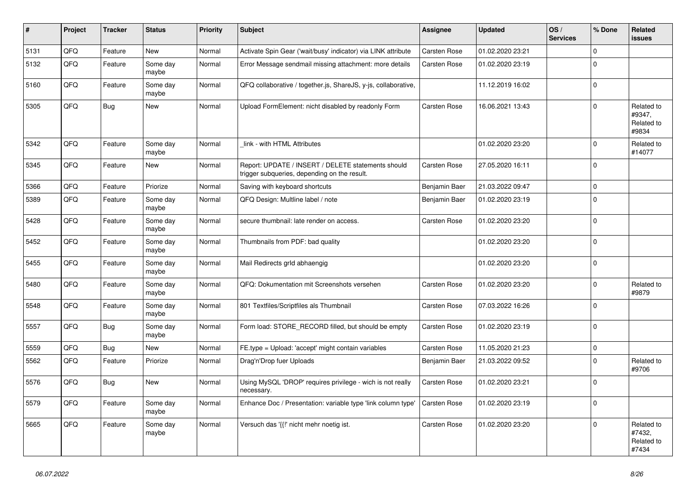| #    | Project | <b>Tracker</b> | <b>Status</b>     | <b>Priority</b> | <b>Subject</b>                                                                                     | Assignee            | <b>Updated</b>   | OS/<br><b>Services</b> | % Done      | Related<br><b>issues</b>                    |
|------|---------|----------------|-------------------|-----------------|----------------------------------------------------------------------------------------------------|---------------------|------------------|------------------------|-------------|---------------------------------------------|
| 5131 | QFQ     | Feature        | <b>New</b>        | Normal          | Activate Spin Gear ('wait/busy' indicator) via LINK attribute                                      | Carsten Rose        | 01.02.2020 23:21 |                        | $\Omega$    |                                             |
| 5132 | QFQ     | Feature        | Some day<br>maybe | Normal          | Error Message sendmail missing attachment: more details                                            | <b>Carsten Rose</b> | 01.02.2020 23:19 |                        | $\Omega$    |                                             |
| 5160 | QFQ     | Feature        | Some day<br>maybe | Normal          | QFQ collaborative / together.js, ShareJS, y-js, collaborative,                                     |                     | 11.12.2019 16:02 |                        | $\Omega$    |                                             |
| 5305 | QFQ     | Bug            | New               | Normal          | Upload FormElement: nicht disabled by readonly Form                                                | <b>Carsten Rose</b> | 16.06.2021 13:43 |                        | $\Omega$    | Related to<br>#9347,<br>Related to<br>#9834 |
| 5342 | QFQ     | Feature        | Some day<br>maybe | Normal          | link - with HTML Attributes                                                                        |                     | 01.02.2020 23:20 |                        | $\Omega$    | Related to<br>#14077                        |
| 5345 | QFQ     | Feature        | New               | Normal          | Report: UPDATE / INSERT / DELETE statements should<br>trigger subqueries, depending on the result. | <b>Carsten Rose</b> | 27.05.2020 16:11 |                        | $\Omega$    |                                             |
| 5366 | QFQ     | Feature        | Priorize          | Normal          | Saving with keyboard shortcuts                                                                     | Benjamin Baer       | 21.03.2022 09:47 |                        | $\mathbf 0$ |                                             |
| 5389 | QFQ     | Feature        | Some day<br>maybe | Normal          | QFQ Design: Multline label / note                                                                  | Benjamin Baer       | 01.02.2020 23:19 |                        | $\Omega$    |                                             |
| 5428 | QFQ     | Feature        | Some day<br>maybe | Normal          | secure thumbnail: late render on access.                                                           | Carsten Rose        | 01.02.2020 23:20 |                        | $\Omega$    |                                             |
| 5452 | QFQ     | Feature        | Some day<br>maybe | Normal          | Thumbnails from PDF: bad quality                                                                   |                     | 01.02.2020 23:20 |                        | $\Omega$    |                                             |
| 5455 | QFQ     | Feature        | Some day<br>maybe | Normal          | Mail Redirects grld abhaengig                                                                      |                     | 01.02.2020 23:20 |                        | $\mathbf 0$ |                                             |
| 5480 | QFQ     | Feature        | Some day<br>maybe | Normal          | QFQ: Dokumentation mit Screenshots versehen                                                        | Carsten Rose        | 01.02.2020 23:20 |                        | $\Omega$    | Related to<br>#9879                         |
| 5548 | QFQ     | Feature        | Some day<br>maybe | Normal          | 801 Textfiles/Scriptfiles als Thumbnail                                                            | <b>Carsten Rose</b> | 07.03.2022 16:26 |                        | $\Omega$    |                                             |
| 5557 | QFQ     | <b>Bug</b>     | Some day<br>maybe | Normal          | Form load: STORE_RECORD filled, but should be empty                                                | Carsten Rose        | 01.02.2020 23:19 |                        | $\Omega$    |                                             |
| 5559 | QFQ     | <b>Bug</b>     | <b>New</b>        | Normal          | FE.type = Upload: 'accept' might contain variables                                                 | Carsten Rose        | 11.05.2020 21:23 |                        | $\Omega$    |                                             |
| 5562 | QFQ     | Feature        | Priorize          | Normal          | Drag'n'Drop fuer Uploads                                                                           | Benjamin Baer       | 21.03.2022 09:52 |                        | $\Omega$    | Related to<br>#9706                         |
| 5576 | QFQ     | Bug            | New               | Normal          | Using MySQL 'DROP' requires privilege - wich is not really<br>necessary.                           | <b>Carsten Rose</b> | 01.02.2020 23:21 |                        | $\Omega$    |                                             |
| 5579 | QFQ     | Feature        | Some day<br>maybe | Normal          | Enhance Doc / Presentation: variable type 'link column type'                                       | Carsten Rose        | 01.02.2020 23:19 |                        | $\Omega$    |                                             |
| 5665 | QFQ     | Feature        | Some day<br>maybe | Normal          | Versuch das '{{!' nicht mehr noetig ist.                                                           | Carsten Rose        | 01.02.2020 23:20 |                        | $\Omega$    | Related to<br>#7432,<br>Related to<br>#7434 |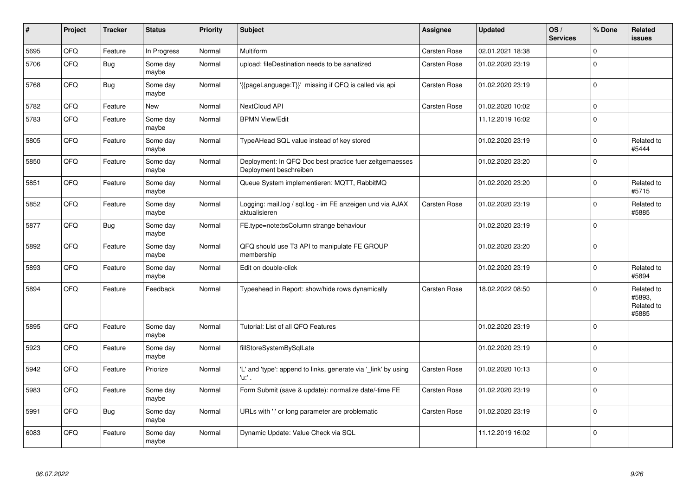| #    | Project | <b>Tracker</b> | <b>Status</b>     | <b>Priority</b> | <b>Subject</b>                                                                    | <b>Assignee</b>     | <b>Updated</b>   | OS/<br><b>Services</b> | % Done   | Related<br><b>issues</b>                    |
|------|---------|----------------|-------------------|-----------------|-----------------------------------------------------------------------------------|---------------------|------------------|------------------------|----------|---------------------------------------------|
| 5695 | QFQ     | Feature        | In Progress       | Normal          | <b>Multiform</b>                                                                  | <b>Carsten Rose</b> | 02.01.2021 18:38 |                        | $\Omega$ |                                             |
| 5706 | QFQ     | Bug            | Some day<br>maybe | Normal          | upload: fileDestination needs to be sanatized                                     | Carsten Rose        | 01.02.2020 23:19 |                        | $\Omega$ |                                             |
| 5768 | QFQ     | <b>Bug</b>     | Some day<br>maybe | Normal          | {{pageLanguage:T}}' missing if QFQ is called via api                              | Carsten Rose        | 01.02.2020 23:19 |                        | $\Omega$ |                                             |
| 5782 | QFQ     | Feature        | <b>New</b>        | Normal          | NextCloud API                                                                     | <b>Carsten Rose</b> | 01.02.2020 10:02 |                        | $\Omega$ |                                             |
| 5783 | QFQ     | Feature        | Some day<br>maybe | Normal          | <b>BPMN View/Edit</b>                                                             |                     | 11.12.2019 16:02 |                        | $\Omega$ |                                             |
| 5805 | QFQ     | Feature        | Some day<br>maybe | Normal          | TypeAHead SQL value instead of key stored                                         |                     | 01.02.2020 23:19 |                        | $\Omega$ | Related to<br>#5444                         |
| 5850 | QFQ     | Feature        | Some day<br>maybe | Normal          | Deployment: In QFQ Doc best practice fuer zeitgemaesses<br>Deployment beschreiben |                     | 01.02.2020 23:20 |                        | $\Omega$ |                                             |
| 5851 | QFQ     | Feature        | Some day<br>maybe | Normal          | Queue System implementieren: MQTT, RabbitMQ                                       |                     | 01.02.2020 23:20 |                        | $\Omega$ | Related to<br>#5715                         |
| 5852 | QFQ     | Feature        | Some day<br>maybe | Normal          | Logging: mail.log / sql.log - im FE anzeigen und via AJAX<br>aktualisieren        | Carsten Rose        | 01.02.2020 23:19 |                        | $\Omega$ | Related to<br>#5885                         |
| 5877 | QFQ     | <b>Bug</b>     | Some day<br>maybe | Normal          | FE.type=note:bsColumn strange behaviour                                           |                     | 01.02.2020 23:19 |                        | $\Omega$ |                                             |
| 5892 | QFQ     | Feature        | Some day<br>maybe | Normal          | QFQ should use T3 API to manipulate FE GROUP<br>membership                        |                     | 01.02.2020 23:20 |                        | $\Omega$ |                                             |
| 5893 | QFQ     | Feature        | Some day<br>maybe | Normal          | Edit on double-click                                                              |                     | 01.02.2020 23:19 |                        | $\Omega$ | Related to<br>#5894                         |
| 5894 | QFQ     | Feature        | Feedback          | Normal          | Typeahead in Report: show/hide rows dynamically                                   | <b>Carsten Rose</b> | 18.02.2022 08:50 |                        | $\Omega$ | Related to<br>#5893,<br>Related to<br>#5885 |
| 5895 | QFQ     | Feature        | Some day<br>maybe | Normal          | Tutorial: List of all QFQ Features                                                |                     | 01.02.2020 23:19 |                        | $\Omega$ |                                             |
| 5923 | QFQ     | Feature        | Some day<br>maybe | Normal          | fillStoreSystemBySqlLate                                                          |                     | 01.02.2020 23:19 |                        | $\Omega$ |                                             |
| 5942 | QFQ     | Feature        | Priorize          | Normal          | 'L' and 'type': append to links, generate via 'link' by using<br>'u:' .           | <b>Carsten Rose</b> | 01.02.2020 10:13 |                        | $\Omega$ |                                             |
| 5983 | QFQ     | Feature        | Some day<br>maybe | Normal          | Form Submit (save & update): normalize date/-time FE                              | <b>Carsten Rose</b> | 01.02.2020 23:19 |                        | $\Omega$ |                                             |
| 5991 | QFQ     | <b>Bug</b>     | Some day<br>maybe | Normal          | URLs with ' ' or long parameter are problematic                                   | <b>Carsten Rose</b> | 01.02.2020 23:19 |                        | $\Omega$ |                                             |
| 6083 | QFQ     | Feature        | Some day<br>maybe | Normal          | Dynamic Update: Value Check via SQL                                               |                     | 11.12.2019 16:02 |                        | $\Omega$ |                                             |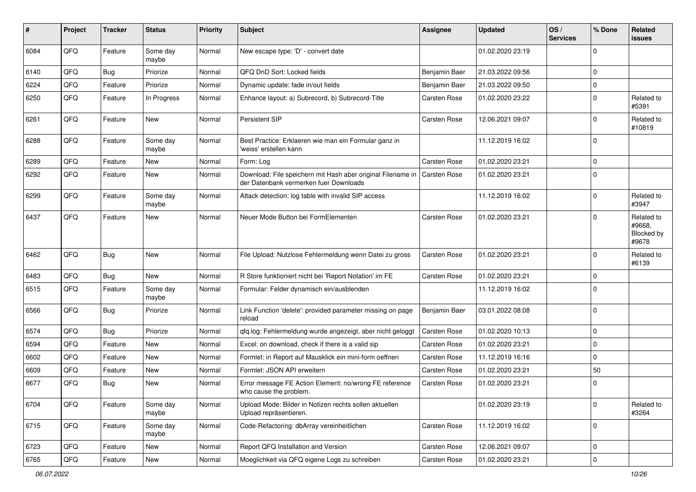| #    | Project | <b>Tracker</b> | <b>Status</b>     | <b>Priority</b> | Subject                                                                                               | <b>Assignee</b>     | <b>Updated</b>   | OS/<br><b>Services</b> | % Done      | Related<br>issues                           |
|------|---------|----------------|-------------------|-----------------|-------------------------------------------------------------------------------------------------------|---------------------|------------------|------------------------|-------------|---------------------------------------------|
| 6084 | QFQ     | Feature        | Some day<br>maybe | Normal          | New escape type: 'D' - convert date                                                                   |                     | 01.02.2020 23:19 |                        | $\Omega$    |                                             |
| 6140 | QFQ     | <b>Bug</b>     | Priorize          | Normal          | QFQ DnD Sort: Locked fields                                                                           | Benjamin Baer       | 21.03.2022 09:56 |                        | $\Omega$    |                                             |
| 6224 | QFQ     | Feature        | Priorize          | Normal          | Dynamic update: fade in/out fields                                                                    | Benjamin Baer       | 21.03.2022 09:50 |                        | $\Omega$    |                                             |
| 6250 | QFQ     | Feature        | In Progress       | Normal          | Enhance layout: a) Subrecord, b) Subrecord-Title                                                      | Carsten Rose        | 01.02.2020 23:22 |                        | $\Omega$    | Related to<br>#5391                         |
| 6261 | QFQ     | Feature        | New               | Normal          | Persistent SIP                                                                                        | Carsten Rose        | 12.06.2021 09:07 |                        | $\Omega$    | Related to<br>#10819                        |
| 6288 | QFQ     | Feature        | Some day<br>maybe | Normal          | Best Practice: Erklaeren wie man ein Formular ganz in<br>'weiss' erstellen kann                       |                     | 11.12.2019 16:02 |                        | $\Omega$    |                                             |
| 6289 | QFQ     | Feature        | <b>New</b>        | Normal          | Form: Log                                                                                             | Carsten Rose        | 01.02.2020 23:21 |                        | $\Omega$    |                                             |
| 6292 | QFQ     | Feature        | <b>New</b>        | Normal          | Download: File speichern mit Hash aber original Filename in<br>der Datenbank vermerken fuer Downloads | Carsten Rose        | 01.02.2020 23:21 |                        | $\Omega$    |                                             |
| 6299 | QFQ     | Feature        | Some day<br>maybe | Normal          | Attack detection: log table with invalid SIP access                                                   |                     | 11.12.2019 16:02 |                        | $\mathbf 0$ | Related to<br>#3947                         |
| 6437 | QFQ     | Feature        | New               | Normal          | Neuer Mode Button bei FormElementen                                                                   | Carsten Rose        | 01.02.2020 23:21 |                        | $\Omega$    | Related to<br>#9668,<br>Blocked by<br>#9678 |
| 6462 | QFQ     | Bug            | <b>New</b>        | Normal          | File Upload: Nutzlose Fehlermeldung wenn Datei zu gross                                               | <b>Carsten Rose</b> | 01.02.2020 23:21 |                        | $\Omega$    | Related to<br>#6139                         |
| 6483 | QFQ     | <b>Bug</b>     | New               | Normal          | R Store funktioniert nicht bei 'Report Notation' im FE                                                | Carsten Rose        | 01.02.2020 23:21 |                        | $\Omega$    |                                             |
| 6515 | QFQ     | Feature        | Some day<br>maybe | Normal          | Formular: Felder dynamisch ein/ausblenden                                                             |                     | 11.12.2019 16:02 |                        | $\Omega$    |                                             |
| 6566 | QFQ     | Bug            | Priorize          | Normal          | Link Function 'delete': provided parameter missing on page<br>reload                                  | Benjamin Baer       | 03.01.2022 08:08 |                        | $\mathbf 0$ |                                             |
| 6574 | QFQ     | <b>Bug</b>     | Priorize          | Normal          | gfg.log: Fehlermeldung wurde angezeigt, aber nicht geloggt                                            | Carsten Rose        | 01.02.2020 10:13 |                        | $\Omega$    |                                             |
| 6594 | QFQ     | Feature        | <b>New</b>        | Normal          | Excel: on download, check if there is a valid sip                                                     | Carsten Rose        | 01.02.2020 23:21 |                        | $\mathbf 0$ |                                             |
| 6602 | QFQ     | Feature        | New               | Normal          | Formlet: in Report auf Mausklick ein mini-form oeffnen                                                | Carsten Rose        | 11.12.2019 16:16 |                        | $\mathbf 0$ |                                             |
| 6609 | QFQ     | Feature        | New               | Normal          | Formlet: JSON API erweitern                                                                           | Carsten Rose        | 01.02.2020 23:21 |                        | 50          |                                             |
| 6677 | QFQ     | Bug            | <b>New</b>        | Normal          | Error message FE Action Element: no/wrong FE reference<br>who cause the problem.                      | Carsten Rose        | 01.02.2020 23:21 |                        | $\Omega$    |                                             |
| 6704 | QFQ     | Feature        | Some day<br>maybe | Normal          | Upload Mode: Bilder in Notizen rechts sollen aktuellen<br>Upload repräsentieren.                      |                     | 01.02.2020 23:19 |                        | $\mathbf 0$ | Related to<br>#3264                         |
| 6715 | QFQ     | Feature        | Some day<br>maybe | Normal          | Code-Refactoring: dbArray vereinheitlichen                                                            | Carsten Rose        | 11.12.2019 16:02 |                        | 0           |                                             |
| 6723 | QFQ     | Feature        | New               | Normal          | Report QFQ Installation and Version                                                                   | Carsten Rose        | 12.06.2021 09:07 |                        | 0           |                                             |
| 6765 | QFG     | Feature        | New               | Normal          | Moeglichkeit via QFQ eigene Logs zu schreiben                                                         | Carsten Rose        | 01.02.2020 23:21 |                        | 0           |                                             |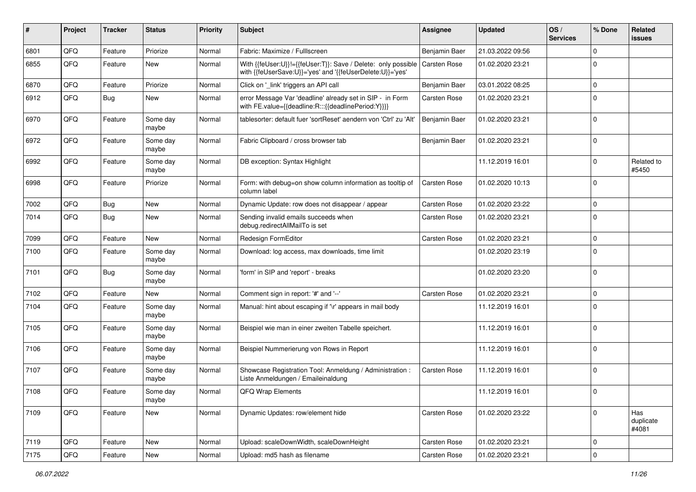| #    | Project | <b>Tracker</b> | <b>Status</b>       | <b>Priority</b> | <b>Subject</b>                                                                                                             | <b>Assignee</b>     | <b>Updated</b>   | OS/<br><b>Services</b> | % Done      | Related<br>issues         |
|------|---------|----------------|---------------------|-----------------|----------------------------------------------------------------------------------------------------------------------------|---------------------|------------------|------------------------|-------------|---------------------------|
| 6801 | QFQ     | Feature        | Priorize            | Normal          | Fabric: Maximize / Fulllscreen                                                                                             | Benjamin Baer       | 21.03.2022 09:56 |                        | $\Omega$    |                           |
| 6855 | QFQ     | Feature        | New                 | Normal          | With {{feUser:U}}!={{feUser:T}}: Save / Delete: only possible<br>with {{feUserSave:U}}='yes' and '{{feUserDelete:U}}='yes' | <b>Carsten Rose</b> | 01.02.2020 23:21 |                        | $\Omega$    |                           |
| 6870 | QFQ     | Feature        | Priorize            | Normal          | Click on '_link' triggers an API call                                                                                      | Benjamin Baer       | 03.01.2022 08:25 |                        | 0           |                           |
| 6912 | QFQ     | Bug            | New                 | Normal          | error Message Var 'deadline' already set in SIP - in Form<br>with FE.value={{deadline:R:::{{deadlinePeriod:Y}}}}           | <b>Carsten Rose</b> | 01.02.2020 23:21 |                        | $\Omega$    |                           |
| 6970 | QFQ     | Feature        | Some day<br>maybe   | Normal          | tablesorter: default fuer 'sortReset' aendern von 'Ctrl' zu 'Alt'                                                          | Benjamin Baer       | 01.02.2020 23:21 |                        | $\mathbf 0$ |                           |
| 6972 | QFQ     | Feature        | Some day<br>maybe   | Normal          | Fabric Clipboard / cross browser tab                                                                                       | Benjamin Baer       | 01.02.2020 23:21 |                        | $\mathbf 0$ |                           |
| 6992 | QFQ     | Feature        | Some day<br>maybe   | Normal          | DB exception: Syntax Highlight                                                                                             |                     | 11.12.2019 16:01 |                        | 0           | Related to<br>#5450       |
| 6998 | QFQ     | Feature        | Priorize            | Normal          | Form: with debug=on show column information as tooltip of<br>column label                                                  | <b>Carsten Rose</b> | 01.02.2020 10:13 |                        | $\Omega$    |                           |
| 7002 | QFQ     | Bug            | New                 | Normal          | Dynamic Update: row does not disappear / appear                                                                            | Carsten Rose        | 01.02.2020 23:22 |                        | 0           |                           |
| 7014 | QFQ     | Bug            | New                 | Normal          | Sending invalid emails succeeds when<br>debug.redirectAllMailTo is set                                                     | <b>Carsten Rose</b> | 01.02.2020 23:21 |                        | $\Omega$    |                           |
| 7099 | QFQ     | Feature        | <b>New</b>          | Normal          | Redesign FormEditor                                                                                                        | <b>Carsten Rose</b> | 01.02.2020 23:21 |                        | 0           |                           |
| 7100 | QFQ     | Feature        | Some day<br>maybe   | Normal          | Download: log access, max downloads, time limit                                                                            |                     | 01.02.2020 23:19 |                        | $\Omega$    |                           |
| 7101 | QFQ     | <b>Bug</b>     | Some day<br>maybe   | Normal          | 'form' in SIP and 'report' - breaks                                                                                        |                     | 01.02.2020 23:20 |                        | $\mathbf 0$ |                           |
| 7102 | QFQ     | Feature        | New                 | Normal          | Comment sign in report: '#' and '--'                                                                                       | Carsten Rose        | 01.02.2020 23:21 |                        | $\mathbf 0$ |                           |
| 7104 | QFQ     | Feature        | Some day<br>maybe   | Normal          | Manual: hint about escaping if '\r' appears in mail body                                                                   |                     | 11.12.2019 16:01 |                        | $\Omega$    |                           |
| 7105 | QFQ     | Feature        | Some day<br>maybe   | Normal          | Beispiel wie man in einer zweiten Tabelle speichert.                                                                       |                     | 11.12.2019 16:01 |                        | $\mathbf 0$ |                           |
| 7106 | QFQ     | Feature        | Some day<br>maybe   | Normal          | Beispiel Nummerierung von Rows in Report                                                                                   |                     | 11.12.2019 16:01 |                        | $\mathbf 0$ |                           |
| 7107 | QFQ     | Feature        | Some day<br>maybe   | Normal          | Showcase Registration Tool: Anmeldung / Administration :<br>Liste Anmeldungen / Emaileinaldung                             | <b>Carsten Rose</b> | 11.12.2019 16:01 |                        | $\Omega$    |                           |
| 7108 | QFQ     | Feature        | Some day<br>  maybe | Normal          | QFQ Wrap Elements                                                                                                          |                     | 11.12.2019 16:01 |                        | 0           |                           |
| 7109 | QFQ     | Feature        | <b>New</b>          | Normal          | Dynamic Updates: row/element hide                                                                                          | Carsten Rose        | 01.02.2020 23:22 |                        | 0           | Has<br>duplicate<br>#4081 |
| 7119 | QFQ     | Feature        | <b>New</b>          | Normal          | Upload: scaleDownWidth, scaleDownHeight                                                                                    | Carsten Rose        | 01.02.2020 23:21 |                        | $\mathbf 0$ |                           |
| 7175 | QFQ     | Feature        | New                 | Normal          | Upload: md5 hash as filename                                                                                               | Carsten Rose        | 01.02.2020 23:21 |                        | $\mathbf 0$ |                           |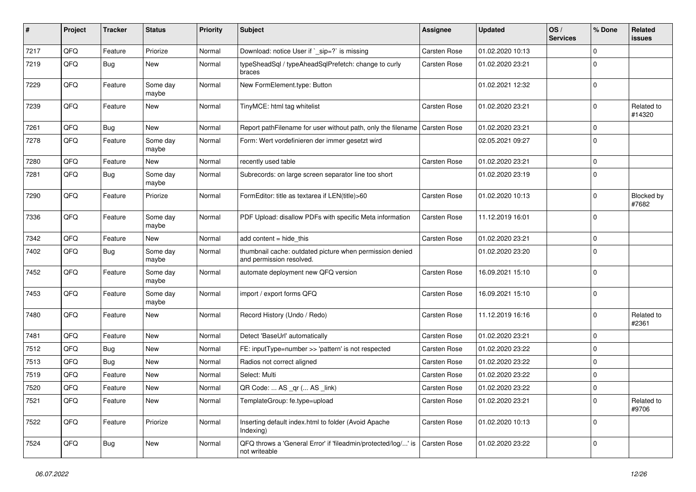| #    | Project | <b>Tracker</b> | <b>Status</b>     | <b>Priority</b> | Subject                                                                              | <b>Assignee</b>     | <b>Updated</b>   | OS/<br><b>Services</b> | % Done      | Related<br>issues    |
|------|---------|----------------|-------------------|-----------------|--------------------------------------------------------------------------------------|---------------------|------------------|------------------------|-------------|----------------------|
| 7217 | QFQ     | Feature        | Priorize          | Normal          | Download: notice User if `_sip=?` is missing                                         | Carsten Rose        | 01.02.2020 10:13 |                        | $\Omega$    |                      |
| 7219 | QFQ     | Bug            | New               | Normal          | typeSheadSql / typeAheadSqlPrefetch: change to curly<br>braces                       | <b>Carsten Rose</b> | 01.02.2020 23:21 |                        | $\Omega$    |                      |
| 7229 | QFQ     | Feature        | Some day<br>maybe | Normal          | New FormElement.type: Button                                                         |                     | 01.02.2021 12:32 |                        | $\mathbf 0$ |                      |
| 7239 | QFQ     | Feature        | New               | Normal          | TinyMCE: html tag whitelist                                                          | Carsten Rose        | 01.02.2020 23:21 |                        | $\mathbf 0$ | Related to<br>#14320 |
| 7261 | QFQ     | Bug            | New               | Normal          | Report pathFilename for user without path, only the filename Carsten Rose            |                     | 01.02.2020 23:21 |                        | $\mathbf 0$ |                      |
| 7278 | QFQ     | Feature        | Some day<br>maybe | Normal          | Form: Wert vordefinieren der immer gesetzt wird                                      |                     | 02.05.2021 09:27 |                        | $\mathbf 0$ |                      |
| 7280 | QFQ     | Feature        | New               | Normal          | recently used table                                                                  | Carsten Rose        | 01.02.2020 23:21 |                        | 0           |                      |
| 7281 | QFQ     | <b>Bug</b>     | Some day<br>maybe | Normal          | Subrecords: on large screen separator line too short                                 |                     | 01.02.2020 23:19 |                        | $\Omega$    |                      |
| 7290 | QFQ     | Feature        | Priorize          | Normal          | FormEditor: title as textarea if LEN(title)>60                                       | Carsten Rose        | 01.02.2020 10:13 |                        | $\Omega$    | Blocked by<br>#7682  |
| 7336 | QFQ     | Feature        | Some day<br>maybe | Normal          | PDF Upload: disallow PDFs with specific Meta information                             | Carsten Rose        | 11.12.2019 16:01 |                        | $\Omega$    |                      |
| 7342 | QFQ     | Feature        | New               | Normal          | add content $=$ hide this                                                            | Carsten Rose        | 01.02.2020 23:21 |                        | $\mathbf 0$ |                      |
| 7402 | QFQ     | <b>Bug</b>     | Some day<br>maybe | Normal          | thumbnail cache: outdated picture when permission denied<br>and permission resolved. |                     | 01.02.2020 23:20 |                        | $\mathbf 0$ |                      |
| 7452 | QFQ     | Feature        | Some day<br>maybe | Normal          | automate deployment new QFQ version                                                  | Carsten Rose        | 16.09.2021 15:10 |                        | $\Omega$    |                      |
| 7453 | QFQ     | Feature        | Some day<br>maybe | Normal          | import / export forms QFQ                                                            | Carsten Rose        | 16.09.2021 15:10 |                        | $\Omega$    |                      |
| 7480 | QFQ     | Feature        | New               | Normal          | Record History (Undo / Redo)                                                         | Carsten Rose        | 11.12.2019 16:16 |                        | $\Omega$    | Related to<br>#2361  |
| 7481 | QFQ     | Feature        | New               | Normal          | Detect 'BaseUrl' automatically                                                       | Carsten Rose        | 01.02.2020 23:21 |                        | $\Omega$    |                      |
| 7512 | QFQ     | Bug            | <b>New</b>        | Normal          | FE: inputType=number >> 'pattern' is not respected                                   | <b>Carsten Rose</b> | 01.02.2020 23:22 |                        | $\mathbf 0$ |                      |
| 7513 | QFQ     | <b>Bug</b>     | New               | Normal          | Radios not correct aligned                                                           | Carsten Rose        | 01.02.2020 23:22 |                        | 0           |                      |
| 7519 | QFQ     | Feature        | <b>New</b>        | Normal          | Select: Multi                                                                        | Carsten Rose        | 01.02.2020 23:22 |                        | $\mathbf 0$ |                      |
| 7520 | QFQ     | Feature        | <b>New</b>        | Normal          | QR Code:  AS _qr ( AS _link)                                                         | Carsten Rose        | 01.02.2020 23:22 |                        | $\Omega$    |                      |
| 7521 | QFQ     | Feature        | New               | Normal          | TemplateGroup: fe.type=upload                                                        | Carsten Rose        | 01.02.2020 23:21 |                        | 0           | Related to<br>#9706  |
| 7522 | QFQ     | Feature        | Priorize          | Normal          | Inserting default index.html to folder (Avoid Apache<br>Indexing)                    | Carsten Rose        | 01.02.2020 10:13 |                        | 0           |                      |
| 7524 | QFQ     | <b>Bug</b>     | New               | Normal          | QFQ throws a 'General Error' if 'fileadmin/protected/log/' is<br>not writeable       | Carsten Rose        | 01.02.2020 23:22 |                        | 0           |                      |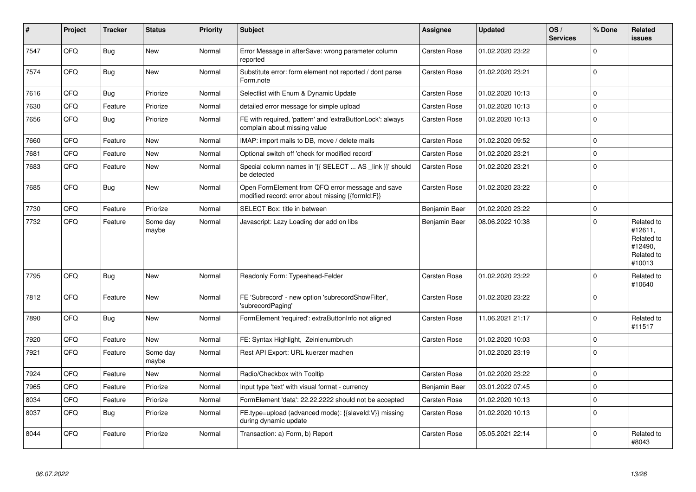| #    | Project | <b>Tracker</b> | <b>Status</b>     | <b>Priority</b> | Subject                                                                                               | Assignee            | <b>Updated</b>   | OS/<br><b>Services</b> | % Done      | Related<br><b>issues</b>                                               |
|------|---------|----------------|-------------------|-----------------|-------------------------------------------------------------------------------------------------------|---------------------|------------------|------------------------|-------------|------------------------------------------------------------------------|
| 7547 | QFQ     | <b>Bug</b>     | <b>New</b>        | Normal          | Error Message in afterSave: wrong parameter column<br>reported                                        | <b>Carsten Rose</b> | 01.02.2020 23:22 |                        | $\Omega$    |                                                                        |
| 7574 | QFQ     | <b>Bug</b>     | <b>New</b>        | Normal          | Substitute error: form element not reported / dont parse<br>Form.note                                 | <b>Carsten Rose</b> | 01.02.2020 23:21 |                        | $\Omega$    |                                                                        |
| 7616 | QFQ     | Bug            | Priorize          | Normal          | Selectlist with Enum & Dynamic Update                                                                 | <b>Carsten Rose</b> | 01.02.2020 10:13 |                        | $\Omega$    |                                                                        |
| 7630 | QFQ     | Feature        | Priorize          | Normal          | detailed error message for simple upload                                                              | <b>Carsten Rose</b> | 01.02.2020 10:13 |                        | $\Omega$    |                                                                        |
| 7656 | QFQ     | Bug            | Priorize          | Normal          | FE with required, 'pattern' and 'extraButtonLock': always<br>complain about missing value             | <b>Carsten Rose</b> | 01.02.2020 10:13 |                        | $\Omega$    |                                                                        |
| 7660 | QFQ     | Feature        | <b>New</b>        | Normal          | IMAP: import mails to DB, move / delete mails                                                         | <b>Carsten Rose</b> | 01.02.2020 09:52 |                        | $\mathbf 0$ |                                                                        |
| 7681 | QFQ     | Feature        | <b>New</b>        | Normal          | Optional switch off 'check for modified record'                                                       | <b>Carsten Rose</b> | 01.02.2020 23:21 |                        | $\Omega$    |                                                                        |
| 7683 | QFQ     | Feature        | New               | Normal          | Special column names in '{{ SELECT  AS _link }}' should<br>be detected                                | <b>Carsten Rose</b> | 01.02.2020 23:21 |                        | $\Omega$    |                                                                        |
| 7685 | QFQ     | Bug            | <b>New</b>        | Normal          | Open FormElement from QFQ error message and save<br>modified record: error about missing {{formId:F}} | Carsten Rose        | 01.02.2020 23:22 |                        | $\Omega$    |                                                                        |
| 7730 | QFQ     | Feature        | Priorize          | Normal          | SELECT Box: title in between                                                                          | Benjamin Baer       | 01.02.2020 23:22 |                        | $\Omega$    |                                                                        |
| 7732 | QFQ     | Feature        | Some day<br>maybe | Normal          | Javascript: Lazy Loading der add on libs                                                              | Benjamin Baer       | 08.06.2022 10:38 |                        | $\Omega$    | Related to<br>#12611,<br>Related to<br>#12490,<br>Related to<br>#10013 |
| 7795 | QFQ     | <b>Bug</b>     | <b>New</b>        | Normal          | Readonly Form: Typeahead-Felder                                                                       | <b>Carsten Rose</b> | 01.02.2020 23:22 |                        | $\Omega$    | Related to<br>#10640                                                   |
| 7812 | QFQ     | Feature        | New               | Normal          | FE 'Subrecord' - new option 'subrecordShowFilter',<br>'subrecordPaging'                               | <b>Carsten Rose</b> | 01.02.2020 23:22 |                        | $\Omega$    |                                                                        |
| 7890 | QFQ     | <b>Bug</b>     | <b>New</b>        | Normal          | FormElement 'required': extraButtonInfo not aligned                                                   | <b>Carsten Rose</b> | 11.06.2021 21:17 |                        | $\Omega$    | Related to<br>#11517                                                   |
| 7920 | QFQ     | Feature        | <b>New</b>        | Normal          | FE: Syntax Highlight, Zeinlenumbruch                                                                  | <b>Carsten Rose</b> | 01.02.2020 10:03 |                        | $\Omega$    |                                                                        |
| 7921 | QFQ     | Feature        | Some day<br>maybe | Normal          | Rest API Export: URL kuerzer machen                                                                   |                     | 01.02.2020 23:19 |                        | $\Omega$    |                                                                        |
| 7924 | QFQ     | Feature        | <b>New</b>        | Normal          | Radio/Checkbox with Tooltip                                                                           | <b>Carsten Rose</b> | 01.02.2020 23:22 |                        | $\Omega$    |                                                                        |
| 7965 | QFQ     | Feature        | Priorize          | Normal          | Input type 'text' with visual format - currency                                                       | Benjamin Baer       | 03.01.2022 07:45 |                        | $\mathbf 0$ |                                                                        |
| 8034 | QFQ     | Feature        | Priorize          | Normal          | FormElement 'data': 22.22.2222 should not be accepted                                                 | <b>Carsten Rose</b> | 01.02.2020 10:13 |                        | $\Omega$    |                                                                        |
| 8037 | QFQ     | Bug            | Priorize          | Normal          | FE.type=upload (advanced mode): {{slaveld:V}} missing<br>during dynamic update                        | <b>Carsten Rose</b> | 01.02.2020 10:13 |                        | $\Omega$    |                                                                        |
| 8044 | QFQ     | Feature        | Priorize          | Normal          | Transaction: a) Form, b) Report                                                                       | <b>Carsten Rose</b> | 05.05.2021 22:14 |                        | $\Omega$    | Related to<br>#8043                                                    |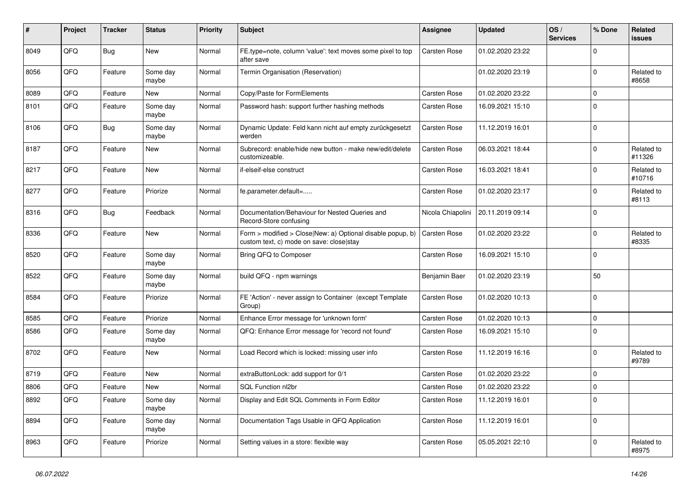| #    | Project | <b>Tracker</b> | <b>Status</b>     | <b>Priority</b> | <b>Subject</b>                                                                                         | <b>Assignee</b>     | <b>Updated</b>                       | OS/<br><b>Services</b> | % Done      | Related<br><b>issues</b> |
|------|---------|----------------|-------------------|-----------------|--------------------------------------------------------------------------------------------------------|---------------------|--------------------------------------|------------------------|-------------|--------------------------|
| 8049 | QFQ     | <b>Bug</b>     | <b>New</b>        | Normal          | FE.type=note, column 'value': text moves some pixel to top<br>after save                               | Carsten Rose        | 01.02.2020 23:22                     |                        | $\Omega$    |                          |
| 8056 | QFQ     | Feature        | Some day<br>maybe | Normal          | Termin Organisation (Reservation)                                                                      |                     | 01.02.2020 23:19                     |                        | $\Omega$    | Related to<br>#8658      |
| 8089 | QFQ     | Feature        | New               | Normal          | Copy/Paste for FormElements                                                                            | Carsten Rose        | 01.02.2020 23:22                     |                        | $\Omega$    |                          |
| 8101 | QFQ     | Feature        | Some day<br>maybe | Normal          | Password hash: support further hashing methods                                                         | <b>Carsten Rose</b> | 16.09.2021 15:10                     |                        | $\Omega$    |                          |
| 8106 | QFQ     | <b>Bug</b>     | Some day<br>maybe | Normal          | Dynamic Update: Feld kann nicht auf empty zurückgesetzt<br>werden                                      | Carsten Rose        | 11.12.2019 16:01                     |                        | $\Omega$    |                          |
| 8187 | QFQ     | Feature        | <b>New</b>        | Normal          | Subrecord: enable/hide new button - make new/edit/delete<br>customizeable.                             | <b>Carsten Rose</b> | 06.03.2021 18:44                     |                        | $\Omega$    | Related to<br>#11326     |
| 8217 | QFQ     | Feature        | New               | Normal          | if-elseif-else construct                                                                               | <b>Carsten Rose</b> | 16.03.2021 18:41                     |                        | $\Omega$    | Related to<br>#10716     |
| 8277 | QFQ     | Feature        | Priorize          | Normal          | fe.parameter.default=                                                                                  | Carsten Rose        | 01.02.2020 23:17                     |                        | $\Omega$    | Related to<br>#8113      |
| 8316 | QFQ     | <b>Bug</b>     | Feedback          | Normal          | Documentation/Behaviour for Nested Queries and<br>Record-Store confusing                               |                     | Nicola Chiapolini   20.11.2019 09:14 |                        | $\Omega$    |                          |
| 8336 | QFQ     | Feature        | New               | Normal          | Form > modified > Close New: a) Optional disable popup, b)<br>custom text, c) mode on save: close stay | Carsten Rose        | 01.02.2020 23:22                     |                        | $\Omega$    | Related to<br>#8335      |
| 8520 | QFQ     | Feature        | Some day<br>maybe | Normal          | Bring QFQ to Composer                                                                                  | <b>Carsten Rose</b> | 16.09.2021 15:10                     |                        | $\Omega$    |                          |
| 8522 | QFQ     | Feature        | Some day<br>maybe | Normal          | build QFQ - npm warnings                                                                               | Benjamin Baer       | 01.02.2020 23:19                     |                        | 50          |                          |
| 8584 | QFQ     | Feature        | Priorize          | Normal          | FE 'Action' - never assign to Container (except Template<br>Group)                                     | <b>Carsten Rose</b> | 01.02.2020 10:13                     |                        | $\Omega$    |                          |
| 8585 | QFQ     | Feature        | Priorize          | Normal          | Enhance Error message for 'unknown form'                                                               | Carsten Rose        | 01.02.2020 10:13                     |                        | $\mathbf 0$ |                          |
| 8586 | QFQ     | Feature        | Some day<br>maybe | Normal          | QFQ: Enhance Error message for 'record not found'                                                      | <b>Carsten Rose</b> | 16.09.2021 15:10                     |                        | $\Omega$    |                          |
| 8702 | QFQ     | Feature        | New               | Normal          | Load Record which is locked: missing user info                                                         | Carsten Rose        | 11.12.2019 16:16                     |                        | $\Omega$    | Related to<br>#9789      |
| 8719 | QFQ     | Feature        | <b>New</b>        | Normal          | extraButtonLock: add support for 0/1                                                                   | <b>Carsten Rose</b> | 01.02.2020 23:22                     |                        | $\Omega$    |                          |
| 8806 | QFQ     | Feature        | New               | Normal          | SQL Function nl2br                                                                                     | Carsten Rose        | 01.02.2020 23:22                     |                        | $\Omega$    |                          |
| 8892 | QFQ     | Feature        | Some day<br>maybe | Normal          | Display and Edit SQL Comments in Form Editor                                                           | <b>Carsten Rose</b> | 11.12.2019 16:01                     |                        | $\Omega$    |                          |
| 8894 | QFQ     | Feature        | Some day<br>maybe | Normal          | Documentation Tags Usable in QFQ Application                                                           | <b>Carsten Rose</b> | 11.12.2019 16:01                     |                        | $\Omega$    |                          |
| 8963 | QFQ     | Feature        | Priorize          | Normal          | Setting values in a store: flexible way                                                                | Carsten Rose        | 05.05.2021 22:10                     |                        | $\Omega$    | Related to<br>#8975      |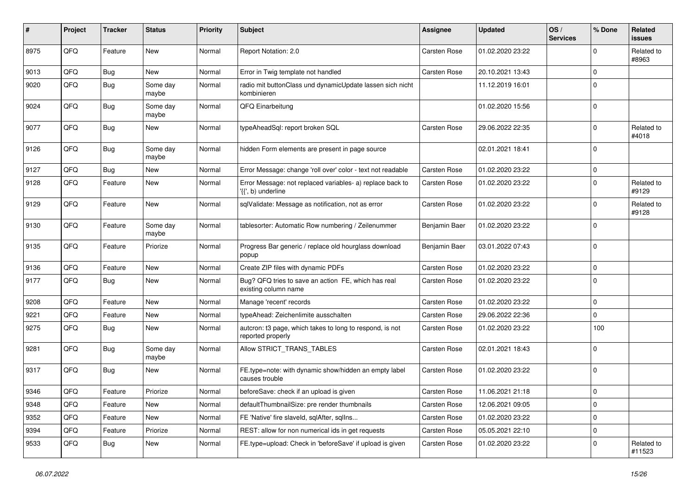| ∦    | Project | <b>Tracker</b> | <b>Status</b>     | <b>Priority</b> | <b>Subject</b>                                                                  | Assignee            | <b>Updated</b>   | OS/<br><b>Services</b> | % Done      | Related<br><b>issues</b> |
|------|---------|----------------|-------------------|-----------------|---------------------------------------------------------------------------------|---------------------|------------------|------------------------|-------------|--------------------------|
| 8975 | QFQ     | Feature        | New               | Normal          | Report Notation: 2.0                                                            | <b>Carsten Rose</b> | 01.02.2020 23:22 |                        | $\Omega$    | Related to<br>#8963      |
| 9013 | QFQ     | <b>Bug</b>     | <b>New</b>        | Normal          | Error in Twig template not handled                                              | Carsten Rose        | 20.10.2021 13:43 |                        | $\Omega$    |                          |
| 9020 | QFQ     | <b>Bug</b>     | Some day<br>maybe | Normal          | radio mit buttonClass und dynamicUpdate lassen sich nicht<br>kombinieren        |                     | 11.12.2019 16:01 |                        | $\Omega$    |                          |
| 9024 | QFQ     | <b>Bug</b>     | Some day<br>maybe | Normal          | QFQ Einarbeitung                                                                |                     | 01.02.2020 15:56 |                        | $\Omega$    |                          |
| 9077 | QFQ     | <b>Bug</b>     | New               | Normal          | typeAheadSql: report broken SQL                                                 | Carsten Rose        | 29.06.2022 22:35 |                        | $\Omega$    | Related to<br>#4018      |
| 9126 | QFQ     | <b>Bug</b>     | Some day<br>maybe | Normal          | hidden Form elements are present in page source                                 |                     | 02.01.2021 18:41 |                        | $\Omega$    |                          |
| 9127 | QFQ     | <b>Bug</b>     | <b>New</b>        | Normal          | Error Message: change 'roll over' color - text not readable                     | <b>Carsten Rose</b> | 01.02.2020 23:22 |                        | $\mathbf 0$ |                          |
| 9128 | QFQ     | Feature        | <b>New</b>        | Normal          | Error Message: not replaced variables- a) replace back to<br>'{{', b) underline | <b>Carsten Rose</b> | 01.02.2020 23:22 |                        | $\Omega$    | Related to<br>#9129      |
| 9129 | QFQ     | Feature        | <b>New</b>        | Normal          | sqlValidate: Message as notification, not as error                              | Carsten Rose        | 01.02.2020 23:22 |                        | $\Omega$    | Related to<br>#9128      |
| 9130 | QFQ     | Feature        | Some day<br>maybe | Normal          | tablesorter: Automatic Row numbering / Zeilenummer                              | Benjamin Baer       | 01.02.2020 23:22 |                        | $\Omega$    |                          |
| 9135 | QFQ     | Feature        | Priorize          | Normal          | Progress Bar generic / replace old hourglass download<br>popup                  | Benjamin Baer       | 03.01.2022 07:43 |                        | $\Omega$    |                          |
| 9136 | QFQ     | Feature        | <b>New</b>        | Normal          | Create ZIP files with dynamic PDFs                                              | <b>Carsten Rose</b> | 01.02.2020 23:22 |                        | $\Omega$    |                          |
| 9177 | QFQ     | Bug            | <b>New</b>        | Normal          | Bug? QFQ tries to save an action FE, which has real<br>existing column name     | Carsten Rose        | 01.02.2020 23:22 |                        | $\Omega$    |                          |
| 9208 | QFQ     | Feature        | <b>New</b>        | Normal          | Manage 'recent' records                                                         | Carsten Rose        | 01.02.2020 23:22 |                        | $\mathbf 0$ |                          |
| 9221 | QFQ     | Feature        | <b>New</b>        | Normal          | typeAhead: Zeichenlimite ausschalten                                            | Carsten Rose        | 29.06.2022 22:36 |                        | $\mathbf 0$ |                          |
| 9275 | QFQ     | <b>Bug</b>     | <b>New</b>        | Normal          | auteron: t3 page, which takes to long to respond, is not<br>reported properly   | Carsten Rose        | 01.02.2020 23:22 |                        | 100         |                          |
| 9281 | QFQ     | Bug            | Some day<br>maybe | Normal          | Allow STRICT_TRANS_TABLES                                                       | <b>Carsten Rose</b> | 02.01.2021 18:43 |                        | $\Omega$    |                          |
| 9317 | QFQ     | Bug            | <b>New</b>        | Normal          | FE.type=note: with dynamic show/hidden an empty label<br>causes trouble         | <b>Carsten Rose</b> | 01.02.2020 23:22 |                        | $\Omega$    |                          |
| 9346 | QFQ     | Feature        | Priorize          | Normal          | beforeSave: check if an upload is given                                         | Carsten Rose        | 11.06.2021 21:18 |                        | $\mathbf 0$ |                          |
| 9348 | QFQ     | Feature        | <b>New</b>        | Normal          | defaultThumbnailSize: pre render thumbnails                                     | <b>Carsten Rose</b> | 12.06.2021 09:05 |                        | $\Omega$    |                          |
| 9352 | QFQ     | Feature        | <b>New</b>        | Normal          | FE 'Native' fire slaveld, sqlAfter, sqlIns                                      | Carsten Rose        | 01.02.2020 23:22 |                        | $\Omega$    |                          |
| 9394 | QFQ     | Feature        | Priorize          | Normal          | REST: allow for non numerical ids in get requests                               | Carsten Rose        | 05.05.2021 22:10 |                        | $\mathbf 0$ |                          |
| 9533 | QFQ     | Bug            | <b>New</b>        | Normal          | FE.type=upload: Check in 'beforeSave' if upload is given                        | <b>Carsten Rose</b> | 01.02.2020 23:22 |                        | $\Omega$    | Related to<br>#11523     |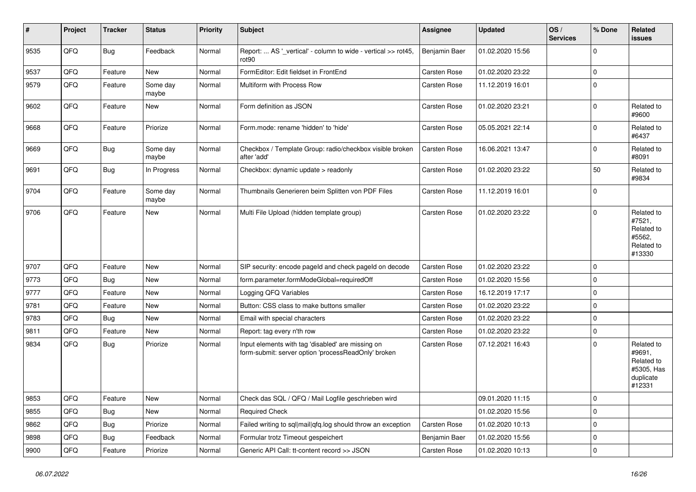| #    | Project | <b>Tracker</b> | <b>Status</b>     | <b>Priority</b> | <b>Subject</b>                                                                                           | <b>Assignee</b> | <b>Updated</b>   | OS/<br><b>Services</b> | % Done      | Related<br><b>issues</b>                                                |
|------|---------|----------------|-------------------|-----------------|----------------------------------------------------------------------------------------------------------|-----------------|------------------|------------------------|-------------|-------------------------------------------------------------------------|
| 9535 | QFQ     | Bug            | Feedback          | Normal          | Report:  AS '_vertical' - column to wide - vertical >> rot45,<br>rot90                                   | Benjamin Baer   | 01.02.2020 15:56 |                        | $\mathbf 0$ |                                                                         |
| 9537 | QFQ     | Feature        | <b>New</b>        | Normal          | FormEditor: Edit fieldset in FrontEnd                                                                    | Carsten Rose    | 01.02.2020 23:22 |                        | $\pmb{0}$   |                                                                         |
| 9579 | QFQ     | Feature        | Some day<br>maybe | Normal          | Multiform with Process Row                                                                               | Carsten Rose    | 11.12.2019 16:01 |                        | $\mathbf 0$ |                                                                         |
| 9602 | QFQ     | Feature        | <b>New</b>        | Normal          | Form definition as JSON                                                                                  | Carsten Rose    | 01.02.2020 23:21 |                        | $\mathbf 0$ | Related to<br>#9600                                                     |
| 9668 | QFQ     | Feature        | Priorize          | Normal          | Form.mode: rename 'hidden' to 'hide'                                                                     | Carsten Rose    | 05.05.2021 22:14 |                        | $\mathbf 0$ | Related to<br>#6437                                                     |
| 9669 | QFQ     | <b>Bug</b>     | Some day<br>maybe | Normal          | Checkbox / Template Group: radio/checkbox visible broken<br>after 'add'                                  | Carsten Rose    | 16.06.2021 13:47 |                        | $\mathbf 0$ | Related to<br>#8091                                                     |
| 9691 | QFQ     | Bug            | In Progress       | Normal          | Checkbox: dynamic update > readonly                                                                      | Carsten Rose    | 01.02.2020 23:22 |                        | 50          | Related to<br>#9834                                                     |
| 9704 | QFQ     | Feature        | Some day<br>maybe | Normal          | Thumbnails Generieren beim Splitten von PDF Files                                                        | Carsten Rose    | 11.12.2019 16:01 |                        | $\mathbf 0$ |                                                                         |
| 9706 | QFQ     | Feature        | <b>New</b>        | Normal          | Multi File Upload (hidden template group)                                                                | Carsten Rose    | 01.02.2020 23:22 |                        | $\mathbf 0$ | Related to<br>#7521,<br>Related to<br>#5562,<br>Related to<br>#13330    |
| 9707 | QFQ     | Feature        | <b>New</b>        | Normal          | SIP security: encode pageld and check pageld on decode                                                   | Carsten Rose    | 01.02.2020 23:22 |                        | $\mathbf 0$ |                                                                         |
| 9773 | QFQ     | <b>Bug</b>     | New               | Normal          | form.parameter.formModeGlobal=requiredOff                                                                | Carsten Rose    | 01.02.2020 15:56 |                        | $\mathbf 0$ |                                                                         |
| 9777 | QFQ     | Feature        | <b>New</b>        | Normal          | Logging QFQ Variables                                                                                    | Carsten Rose    | 16.12.2019 17:17 |                        | $\mathbf 0$ |                                                                         |
| 9781 | QFQ     | Feature        | New               | Normal          | Button: CSS class to make buttons smaller                                                                | Carsten Rose    | 01.02.2020 23:22 |                        | $\mathbf 0$ |                                                                         |
| 9783 | QFQ     | Bug            | <b>New</b>        | Normal          | Email with special characters                                                                            | Carsten Rose    | 01.02.2020 23:22 |                        | $\mathbf 0$ |                                                                         |
| 9811 | QFQ     | Feature        | New               | Normal          | Report: tag every n'th row                                                                               | Carsten Rose    | 01.02.2020 23:22 |                        | $\mathbf 0$ |                                                                         |
| 9834 | QFQ     | Bug            | Priorize          | Normal          | Input elements with tag 'disabled' are missing on<br>form-submit: server option 'processReadOnly' broken | Carsten Rose    | 07.12.2021 16:43 |                        | $\mathbf 0$ | Related to<br>#9691,<br>Related to<br>#5305, Has<br>duplicate<br>#12331 |
| 9853 | QFQ     | Feature        | New               | Normal          | Check das SQL / QFQ / Mail Logfile geschrieben wird                                                      |                 | 09.01.2020 11:15 |                        | $\mathsf 0$ |                                                                         |
| 9855 | QFQ     | Bug            | New               | Normal          | <b>Required Check</b>                                                                                    |                 | 01.02.2020 15:56 |                        | $\mathsf 0$ |                                                                         |
| 9862 | QFQ     | Bug            | Priorize          | Normal          | Failed writing to sql mail qfq.log should throw an exception                                             | Carsten Rose    | 01.02.2020 10:13 |                        | $\mathsf 0$ |                                                                         |
| 9898 | QFQ     | <b>Bug</b>     | Feedback          | Normal          | Formular trotz Timeout gespeichert                                                                       | Benjamin Baer   | 01.02.2020 15:56 |                        | $\mathsf 0$ |                                                                         |
| 9900 | QFG     | Feature        | Priorize          | Normal          | Generic API Call: tt-content record >> JSON                                                              | Carsten Rose    | 01.02.2020 10:13 |                        | $\mathsf 0$ |                                                                         |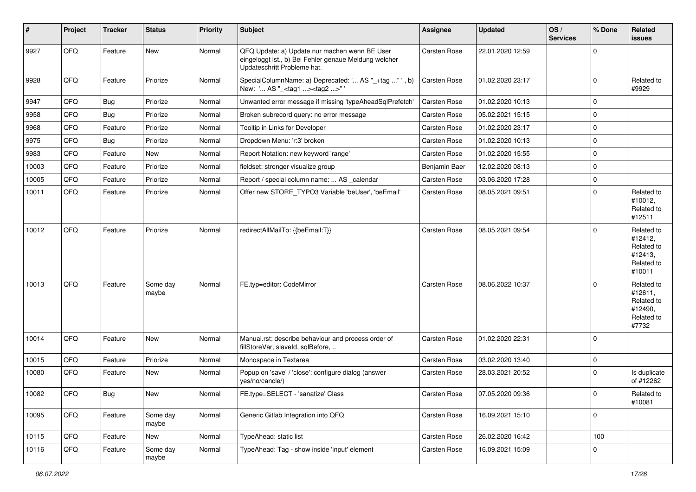| #     | Project | <b>Tracker</b> | <b>Status</b>     | <b>Priority</b> | Subject                                                                                                                               | Assignee            | <b>Updated</b>   | OS/<br><b>Services</b> | % Done      | Related<br>issues                                                      |
|-------|---------|----------------|-------------------|-----------------|---------------------------------------------------------------------------------------------------------------------------------------|---------------------|------------------|------------------------|-------------|------------------------------------------------------------------------|
| 9927  | QFQ     | Feature        | <b>New</b>        | Normal          | QFQ Update: a) Update nur machen wenn BE User<br>eingeloggt ist., b) Bei Fehler genaue Meldung welcher<br>Updateschritt Probleme hat. | Carsten Rose        | 22.01.2020 12:59 |                        | $\Omega$    |                                                                        |
| 9928  | QFQ     | Feature        | Priorize          | Normal          | SpecialColumnName: a) Deprecated: ' AS "_+tag "', b)<br>New: ' AS "_ <tag1><tag2>"'</tag2></tag1>                                     | Carsten Rose        | 01.02.2020 23:17 |                        | $\Omega$    | Related to<br>#9929                                                    |
| 9947  | QFQ     | Bug            | Priorize          | Normal          | Unwanted error message if missing 'typeAheadSqlPrefetch'                                                                              | Carsten Rose        | 01.02.2020 10:13 |                        | $\mathbf 0$ |                                                                        |
| 9958  | QFQ     | <b>Bug</b>     | Priorize          | Normal          | Broken subrecord query: no error message                                                                                              | Carsten Rose        | 05.02.2021 15:15 |                        | $\mathbf 0$ |                                                                        |
| 9968  | QFQ     | Feature        | Priorize          | Normal          | Tooltip in Links for Developer                                                                                                        | Carsten Rose        | 01.02.2020 23:17 |                        | $\Omega$    |                                                                        |
| 9975  | QFQ     | Bug            | Priorize          | Normal          | Dropdown Menu: 'r:3' broken                                                                                                           | Carsten Rose        | 01.02.2020 10:13 |                        | $\mathbf 0$ |                                                                        |
| 9983  | QFQ     | Feature        | New               | Normal          | Report Notation: new keyword 'range'                                                                                                  | Carsten Rose        | 01.02.2020 15:55 |                        | $\mathbf 0$ |                                                                        |
| 10003 | QFQ     | Feature        | Priorize          | Normal          | fieldset: stronger visualize group                                                                                                    | Benjamin Baer       | 12.02.2020 08:13 |                        | $\Omega$    |                                                                        |
| 10005 | QFQ     | Feature        | Priorize          | Normal          | Report / special column name:  AS _calendar                                                                                           | Carsten Rose        | 03.06.2020 17:28 |                        | $\Omega$    |                                                                        |
| 10011 | QFQ     | Feature        | Priorize          | Normal          | Offer new STORE TYPO3 Variable 'beUser', 'beEmail'                                                                                    | Carsten Rose        | 08.05.2021 09:51 |                        | $\Omega$    | Related to<br>#10012,<br>Related to<br>#12511                          |
| 10012 | QFQ     | Feature        | Priorize          | Normal          | redirectAllMailTo: {{beEmail:T}}                                                                                                      | Carsten Rose        | 08.05.2021 09:54 |                        | $\mathbf 0$ | Related to<br>#12412,<br>Related to<br>#12413,<br>Related to<br>#10011 |
| 10013 | QFQ     | Feature        | Some day<br>maybe | Normal          | FE.typ=editor: CodeMirror                                                                                                             | Carsten Rose        | 08.06.2022 10:37 |                        | $\Omega$    | Related to<br>#12611,<br>Related to<br>#12490,<br>Related to<br>#7732  |
| 10014 | QFQ     | Feature        | <b>New</b>        | Normal          | Manual.rst: describe behaviour and process order of<br>fillStoreVar, slaveId, sqlBefore,                                              | Carsten Rose        | 01.02.2020 22:31 |                        | $\mathbf 0$ |                                                                        |
| 10015 | QFQ     | Feature        | Priorize          | Normal          | Monospace in Textarea                                                                                                                 | Carsten Rose        | 03.02.2020 13:40 |                        | $\mathbf 0$ |                                                                        |
| 10080 | QFQ     | Feature        | <b>New</b>        | Normal          | Popup on 'save' / 'close': configure dialog (answer<br>yes/no/cancle/)                                                                | Carsten Rose        | 28.03.2021 20:52 |                        | $\Omega$    | Is duplicate<br>of #12262                                              |
| 10082 | QFG     | Bug            | New               | Normal          | FE.type=SELECT - 'sanatize' Class                                                                                                     | <b>Carsten Rose</b> | 07.05.2020 09:36 |                        | 0           | Related to<br>#10081                                                   |
| 10095 | QFQ     | Feature        | Some day<br>maybe | Normal          | Generic Gitlab Integration into QFQ                                                                                                   | Carsten Rose        | 16.09.2021 15:10 |                        | $\Omega$    |                                                                        |
| 10115 | QFQ     | Feature        | New               | Normal          | TypeAhead: static list                                                                                                                | Carsten Rose        | 26.02.2020 16:42 |                        | 100         |                                                                        |
| 10116 | QFQ     | Feature        | Some day<br>maybe | Normal          | TypeAhead: Tag - show inside 'input' element                                                                                          | Carsten Rose        | 16.09.2021 15:09 |                        | $\mathbf 0$ |                                                                        |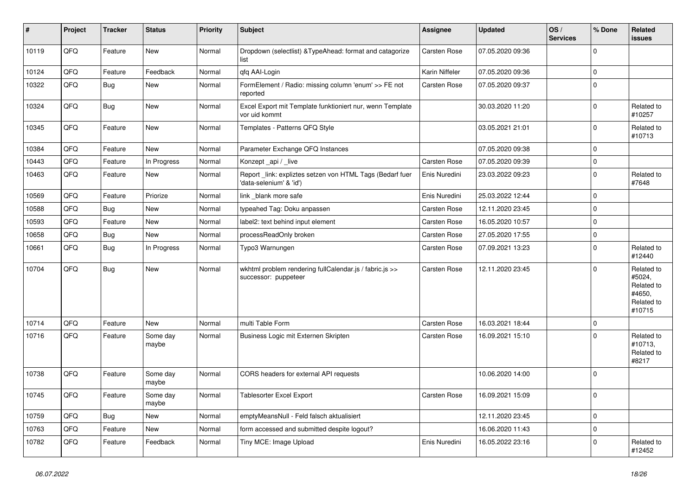| $\vert$ # | Project | <b>Tracker</b> | <b>Status</b>     | <b>Priority</b> | <b>Subject</b>                                                                      | Assignee            | <b>Updated</b>   | OS/<br><b>Services</b> | % Done      | Related<br><b>issues</b>                                             |
|-----------|---------|----------------|-------------------|-----------------|-------------------------------------------------------------------------------------|---------------------|------------------|------------------------|-------------|----------------------------------------------------------------------|
| 10119     | QFQ     | Feature        | <b>New</b>        | Normal          | Dropdown (selectlist) & Type Ahead: format and catagorize<br>list                   | <b>Carsten Rose</b> | 07.05.2020 09:36 |                        | $\Omega$    |                                                                      |
| 10124     | QFQ     | Feature        | Feedback          | Normal          | qfq AAI-Login                                                                       | Karin Niffeler      | 07.05.2020 09:36 |                        | $\mathbf 0$ |                                                                      |
| 10322     | QFQ     | <b>Bug</b>     | New               | Normal          | FormElement / Radio: missing column 'enum' >> FE not<br>reported                    | Carsten Rose        | 07.05.2020 09:37 |                        | $\Omega$    |                                                                      |
| 10324     | QFQ     | Bug            | <b>New</b>        | Normal          | Excel Export mit Template funktioniert nur, wenn Template<br>vor uid kommt          |                     | 30.03.2020 11:20 |                        | $\mathbf 0$ | Related to<br>#10257                                                 |
| 10345     | QFQ     | Feature        | <b>New</b>        | Normal          | Templates - Patterns QFQ Style                                                      |                     | 03.05.2021 21:01 |                        | $\Omega$    | Related to<br>#10713                                                 |
| 10384     | QFQ     | Feature        | <b>New</b>        | Normal          | Parameter Exchange QFQ Instances                                                    |                     | 07.05.2020 09:38 |                        | $\Omega$    |                                                                      |
| 10443     | QFQ     | Feature        | In Progress       | Normal          | Konzept_api / _live                                                                 | Carsten Rose        | 07.05.2020 09:39 |                        | $\Omega$    |                                                                      |
| 10463     | QFQ     | Feature        | <b>New</b>        | Normal          | Report link: expliztes setzen von HTML Tags (Bedarf fuer<br>'data-selenium' & 'id') | Enis Nuredini       | 23.03.2022 09:23 |                        | $\Omega$    | Related to<br>#7648                                                  |
| 10569     | QFQ     | Feature        | Priorize          | Normal          | link blank more safe                                                                | Enis Nuredini       | 25.03.2022 12:44 |                        | $\Omega$    |                                                                      |
| 10588     | QFQ     | <b>Bug</b>     | <b>New</b>        | Normal          | typeahed Tag: Doku anpassen                                                         | <b>Carsten Rose</b> | 12.11.2020 23:45 |                        | $\Omega$    |                                                                      |
| 10593     | QFQ     | Feature        | <b>New</b>        | Normal          | label2: text behind input element                                                   | <b>Carsten Rose</b> | 16.05.2020 10:57 |                        | $\mathbf 0$ |                                                                      |
| 10658     | QFQ     | <b>Bug</b>     | <b>New</b>        | Normal          | processReadOnly broken                                                              | Carsten Rose        | 27.05.2020 17:55 |                        | $\mathbf 0$ |                                                                      |
| 10661     | QFQ     | <b>Bug</b>     | In Progress       | Normal          | Typo3 Warnungen                                                                     | Carsten Rose        | 07.09.2021 13:23 |                        | $\Omega$    | Related to<br>#12440                                                 |
| 10704     | QFQ     | <b>Bug</b>     | <b>New</b>        | Normal          | wkhtml problem rendering fullCalendar.js / fabric.js >><br>successor: puppeteer     | Carsten Rose        | 12.11.2020 23:45 |                        | $\Omega$    | Related to<br>#5024,<br>Related to<br>#4650,<br>Related to<br>#10715 |
| 10714     | QFQ     | Feature        | <b>New</b>        | Normal          | multi Table Form                                                                    | <b>Carsten Rose</b> | 16.03.2021 18:44 |                        | $\mathbf 0$ |                                                                      |
| 10716     | QFQ     | Feature        | Some day<br>maybe | Normal          | Business Logic mit Externen Skripten                                                | Carsten Rose        | 16.09.2021 15:10 |                        | $\Omega$    | Related to<br>#10713,<br>Related to<br>#8217                         |
| 10738     | QFQ     | Feature        | Some day<br>maybe | Normal          | CORS headers for external API requests                                              |                     | 10.06.2020 14:00 |                        | $\Omega$    |                                                                      |
| 10745     | QFQ     | Feature        | Some day<br>maybe | Normal          | Tablesorter Excel Export                                                            | <b>Carsten Rose</b> | 16.09.2021 15:09 |                        | $\Omega$    |                                                                      |
| 10759     | QFQ     | <b>Bug</b>     | <b>New</b>        | Normal          | emptyMeansNull - Feld falsch aktualisiert                                           |                     | 12.11.2020 23:45 |                        | $\mathbf 0$ |                                                                      |
| 10763     | QFQ     | Feature        | <b>New</b>        | Normal          | form accessed and submitted despite logout?                                         |                     | 16.06.2020 11:43 |                        | $\mathbf 0$ |                                                                      |
| 10782     | QFQ     | Feature        | Feedback          | Normal          | Tiny MCE: Image Upload                                                              | Enis Nuredini       | 16.05.2022 23:16 |                        | $\Omega$    | Related to<br>#12452                                                 |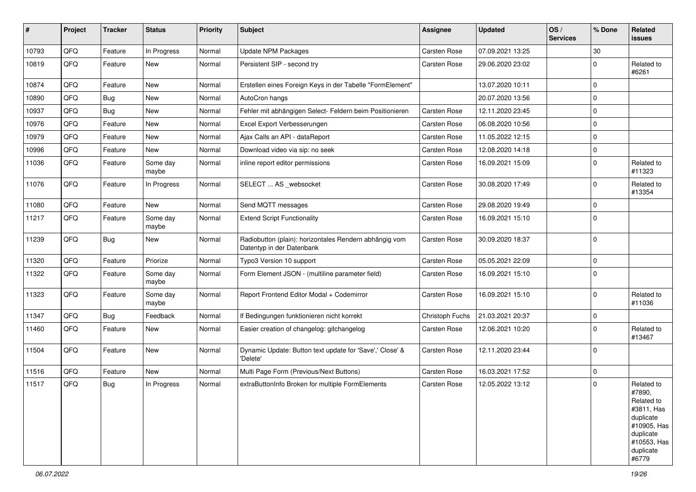| ∦     | Project | <b>Tracker</b> | <b>Status</b>     | Priority | <b>Subject</b>                                                                      | Assignee        | <b>Updated</b>   | OS/<br><b>Services</b> | % Done      | Related<br><b>issues</b>                                                                                                       |
|-------|---------|----------------|-------------------|----------|-------------------------------------------------------------------------------------|-----------------|------------------|------------------------|-------------|--------------------------------------------------------------------------------------------------------------------------------|
| 10793 | QFQ     | Feature        | In Progress       | Normal   | <b>Update NPM Packages</b>                                                          | Carsten Rose    | 07.09.2021 13:25 |                        | 30          |                                                                                                                                |
| 10819 | QFQ     | Feature        | <b>New</b>        | Normal   | Persistent SIP - second try                                                         | Carsten Rose    | 29.06.2020 23:02 |                        | $\Omega$    | Related to<br>#6261                                                                                                            |
| 10874 | QFQ     | Feature        | <b>New</b>        | Normal   | Erstellen eines Foreign Keys in der Tabelle "FormElement"                           |                 | 13.07.2020 10:11 |                        | $\mathbf 0$ |                                                                                                                                |
| 10890 | QFQ     | Bug            | <b>New</b>        | Normal   | AutoCron hangs                                                                      |                 | 20.07.2020 13:56 |                        | $\Omega$    |                                                                                                                                |
| 10937 | QFQ     | Bug            | <b>New</b>        | Normal   | Fehler mit abhängigen Select- Feldern beim Positionieren                            | Carsten Rose    | 12.11.2020 23:45 |                        | $\Omega$    |                                                                                                                                |
| 10976 | QFQ     | Feature        | <b>New</b>        | Normal   | Excel Export Verbesserungen                                                         | Carsten Rose    | 06.08.2020 10:56 |                        | $\mathbf 0$ |                                                                                                                                |
| 10979 | QFQ     | Feature        | <b>New</b>        | Normal   | Ajax Calls an API - dataReport                                                      | Carsten Rose    | 11.05.2022 12:15 |                        | $\Omega$    |                                                                                                                                |
| 10996 | QFQ     | Feature        | <b>New</b>        | Normal   | Download video via sip: no seek                                                     | Carsten Rose    | 12.08.2020 14:18 |                        | $\mathbf 0$ |                                                                                                                                |
| 11036 | QFQ     | Feature        | Some day<br>maybe | Normal   | inline report editor permissions                                                    | Carsten Rose    | 16.09.2021 15:09 |                        | $\Omega$    | Related to<br>#11323                                                                                                           |
| 11076 | QFQ     | Feature        | In Progress       | Normal   | SELECT  AS _websocket                                                               | Carsten Rose    | 30.08.2020 17:49 |                        | $\Omega$    | Related to<br>#13354                                                                                                           |
| 11080 | QFQ     | Feature        | <b>New</b>        | Normal   | Send MQTT messages                                                                  | Carsten Rose    | 29.08.2020 19:49 |                        | $\mathbf 0$ |                                                                                                                                |
| 11217 | QFQ     | Feature        | Some day<br>maybe | Normal   | <b>Extend Script Functionality</b>                                                  | Carsten Rose    | 16.09.2021 15:10 |                        | $\mathbf 0$ |                                                                                                                                |
| 11239 | QFQ     | Bug            | <b>New</b>        | Normal   | Radiobutton (plain): horizontales Rendern abhängig vom<br>Datentyp in der Datenbank | Carsten Rose    | 30.09.2020 18:37 |                        | $\mathbf 0$ |                                                                                                                                |
| 11320 | QFQ     | Feature        | Priorize          | Normal   | Typo3 Version 10 support                                                            | Carsten Rose    | 05.05.2021 22:09 |                        | $\mathbf 0$ |                                                                                                                                |
| 11322 | QFQ     | Feature        | Some day<br>maybe | Normal   | Form Element JSON - (multiline parameter field)                                     | Carsten Rose    | 16.09.2021 15:10 |                        | $\Omega$    |                                                                                                                                |
| 11323 | QFQ     | Feature        | Some day<br>maybe | Normal   | Report Frontend Editor Modal + Codemirror                                           | Carsten Rose    | 16.09.2021 15:10 |                        | $\Omega$    | Related to<br>#11036                                                                                                           |
| 11347 | QFQ     | <b>Bug</b>     | Feedback          | Normal   | If Bedingungen funktionieren nicht korrekt                                          | Christoph Fuchs | 21.03.2021 20:37 |                        | $\mathbf 0$ |                                                                                                                                |
| 11460 | QFQ     | Feature        | New               | Normal   | Easier creation of changelog: gitchangelog                                          | Carsten Rose    | 12.06.2021 10:20 |                        | $\Omega$    | Related to<br>#13467                                                                                                           |
| 11504 | QFQ     | Feature        | <b>New</b>        | Normal   | Dynamic Update: Button text update for 'Save',' Close' &<br>'Delete'                | Carsten Rose    | 12.11.2020 23:44 |                        | $\Omega$    |                                                                                                                                |
| 11516 | QFQ     | Feature        | New               | Normal   | Multi Page Form (Previous/Next Buttons)                                             | Carsten Rose    | 16.03.2021 17:52 |                        | $\mathbf 0$ |                                                                                                                                |
| 11517 | QFQ     | Bug            | In Progress       | Normal   | extraButtonInfo Broken for multiple FormElements                                    | Carsten Rose    | 12.05.2022 13:12 |                        | $\Omega$    | Related to<br>#7890,<br>Related to<br>#3811, Has<br>duplicate<br>#10905, Has<br>duplicate<br>#10553, Has<br>duplicate<br>#6779 |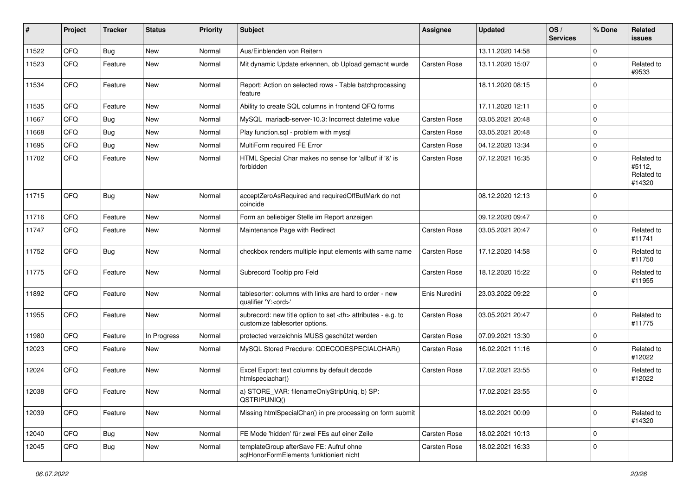| #     | Project | <b>Tracker</b> | <b>Status</b> | <b>Priority</b> | <b>Subject</b>                                                                                       | Assignee                                               | <b>Updated</b>   | OS/<br><b>Services</b> | % Done      | Related<br><b>issues</b>                     |                      |
|-------|---------|----------------|---------------|-----------------|------------------------------------------------------------------------------------------------------|--------------------------------------------------------|------------------|------------------------|-------------|----------------------------------------------|----------------------|
| 11522 | QFQ     | Bug            | New           | Normal          | Aus/Einblenden von Reitern                                                                           |                                                        | 13.11.2020 14:58 |                        | $\Omega$    |                                              |                      |
| 11523 | QFQ     | Feature        | <b>New</b>    | Normal          | Mit dynamic Update erkennen, ob Upload gemacht wurde                                                 | Carsten Rose                                           | 13.11.2020 15:07 |                        | $\mathbf 0$ | Related to<br>#9533                          |                      |
| 11534 | QFQ     | Feature        | New           | Normal          | Report: Action on selected rows - Table batchprocessing<br>feature                                   |                                                        | 18.11.2020 08:15 |                        | $\Omega$    |                                              |                      |
| 11535 | QFQ     | Feature        | <b>New</b>    | Normal          | Ability to create SQL columns in frontend QFQ forms                                                  |                                                        | 17.11.2020 12:11 |                        | $\Omega$    |                                              |                      |
| 11667 | QFQ     | <b>Bug</b>     | <b>New</b>    | Normal          | MySQL mariadb-server-10.3: Incorrect datetime value                                                  | Carsten Rose                                           | 03.05.2021 20:48 |                        | $\mathbf 0$ |                                              |                      |
| 11668 | QFQ     | Bug            | <b>New</b>    | Normal          | Play function.sql - problem with mysql                                                               | Carsten Rose                                           | 03.05.2021 20:48 |                        | $\Omega$    |                                              |                      |
| 11695 | QFQ     | <b>Bug</b>     | <b>New</b>    | Normal          | MultiForm required FE Error                                                                          | Carsten Rose                                           | 04.12.2020 13:34 |                        | $\Omega$    |                                              |                      |
| 11702 | QFQ     | Feature        | <b>New</b>    | Normal          | HTML Special Char makes no sense for 'allbut' if '&' is<br>forbidden                                 | Carsten Rose                                           | 07.12.2021 16:35 |                        | $\mathbf 0$ | Related to<br>#5112,<br>Related to<br>#14320 |                      |
| 11715 | QFQ     | Bug            | <b>New</b>    | Normal          | acceptZeroAsRequired and requiredOffButMark do not<br>coincide                                       |                                                        | 08.12.2020 12:13 |                        | $\Omega$    |                                              |                      |
| 11716 | QFQ     | Feature        | <b>New</b>    | Normal          | Form an beliebiger Stelle im Report anzeigen                                                         |                                                        | 09.12.2020 09:47 |                        | $\Omega$    |                                              |                      |
| 11747 | QFQ     | Feature        | New           | Normal          | Maintenance Page with Redirect                                                                       | Carsten Rose                                           | 03.05.2021 20:47 |                        | $\mathbf 0$ | Related to<br>#11741                         |                      |
| 11752 | QFQ     | Bug            | <b>New</b>    | Normal          | checkbox renders multiple input elements with same name                                              | Carsten Rose                                           | 17.12.2020 14:58 |                        | $\Omega$    | Related to<br>#11750                         |                      |
| 11775 | QFQ     | Feature        | New           | Normal          | Subrecord Tooltip pro Feld                                                                           | Carsten Rose                                           | 18.12.2020 15:22 |                        | $\Omega$    | Related to<br>#11955                         |                      |
| 11892 | QFQ     | Feature        | New           | Normal          | tablesorter: columns with links are hard to order - new<br>qualifier 'Y: <ord>'</ord>                | Enis Nuredini                                          | 23.03.2022 09:22 |                        | $\Omega$    |                                              |                      |
| 11955 | QFQ     | Feature        | New           | Normal          | subrecord: new title option to set <th> attributes - e.g. to<br/>customize tablesorter options.</th> | attributes - e.g. to<br>customize tablesorter options. | Carsten Rose     | 03.05.2021 20:47       |             | $\Omega$                                     | Related to<br>#11775 |
| 11980 | QFQ     | Feature        | In Progress   | Normal          | protected verzeichnis MUSS geschützt werden                                                          | Carsten Rose                                           | 07.09.2021 13:30 |                        | $\mathbf 0$ |                                              |                      |
| 12023 | QFQ     | Feature        | New           | Normal          | MySQL Stored Precdure: QDECODESPECIALCHAR()                                                          | Carsten Rose                                           | 16.02.2021 11:16 |                        | $\Omega$    | Related to<br>#12022                         |                      |
| 12024 | QFQ     | Feature        | New           | Normal          | Excel Export: text columns by default decode<br>htmlspeciachar()                                     | Carsten Rose                                           | 17.02.2021 23:55 |                        | $\Omega$    | Related to<br>#12022                         |                      |
| 12038 | QFQ     | Feature        | New           | Normal          | a) STORE_VAR: filenameOnlyStripUniq, b) SP:<br>QSTRIPUNIQ()                                          |                                                        | 17.02.2021 23:55 |                        | $\Omega$    |                                              |                      |
| 12039 | QFQ     | Feature        | New           | Normal          | Missing htmlSpecialChar() in pre processing on form submit                                           |                                                        | 18.02.2021 00:09 |                        | $\mathbf 0$ | Related to<br>#14320                         |                      |
| 12040 | QFQ     | Bug            | New           | Normal          | FE Mode 'hidden' für zwei FEs auf einer Zeile                                                        | Carsten Rose                                           | 18.02.2021 10:13 |                        | $\mathbf 0$ |                                              |                      |
| 12045 | QFQ     | <b>Bug</b>     | New           | Normal          | templateGroup afterSave FE: Aufruf ohne<br>sqlHonorFormElements funktioniert nicht                   | Carsten Rose                                           | 18.02.2021 16:33 |                        | $\mathbf 0$ |                                              |                      |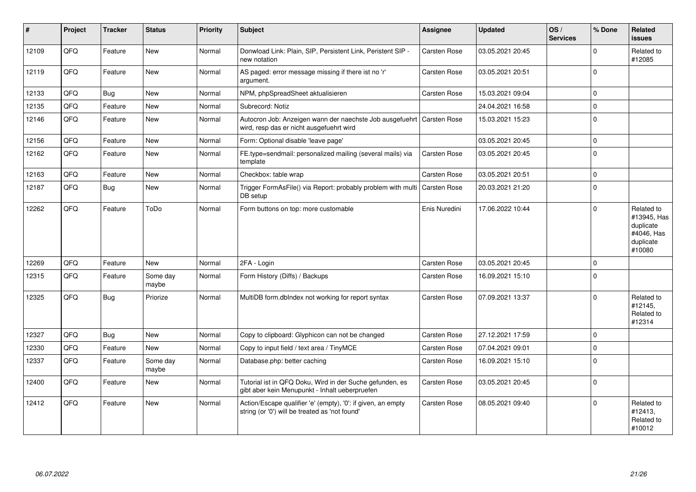| $\vert$ # | Project | <b>Tracker</b> | <b>Status</b>     | Priority | <b>Subject</b>                                                                                                      | <b>Assignee</b>     | <b>Updated</b>   | OS/<br><b>Services</b> | % Done      | Related<br><b>issues</b>                                                    |
|-----------|---------|----------------|-------------------|----------|---------------------------------------------------------------------------------------------------------------------|---------------------|------------------|------------------------|-------------|-----------------------------------------------------------------------------|
| 12109     | QFQ     | Feature        | <b>New</b>        | Normal   | Donwload Link: Plain, SIP, Persistent Link, Peristent SIP -<br>new notation                                         | <b>Carsten Rose</b> | 03.05.2021 20:45 |                        | $\Omega$    | Related to<br>#12085                                                        |
| 12119     | QFQ     | Feature        | <b>New</b>        | Normal   | AS paged: error message missing if there ist no 'r'<br>argument.                                                    | <b>Carsten Rose</b> | 03.05.2021 20:51 |                        | $\Omega$    |                                                                             |
| 12133     | QFQ     | <b>Bug</b>     | <b>New</b>        | Normal   | NPM, phpSpreadSheet aktualisieren                                                                                   | <b>Carsten Rose</b> | 15.03.2021 09:04 |                        | $\Omega$    |                                                                             |
| 12135     | QFQ     | Feature        | <b>New</b>        | Normal   | Subrecord: Notiz                                                                                                    |                     | 24.04.2021 16:58 |                        | $\Omega$    |                                                                             |
| 12146     | QFQ     | Feature        | New               | Normal   | Autocron Job: Anzeigen wann der naechste Job ausgefuehrt   Carsten Rose<br>wird, resp das er nicht ausgefuehrt wird |                     | 15.03.2021 15:23 |                        | $\mathbf 0$ |                                                                             |
| 12156     | QFQ     | Feature        | New               | Normal   | Form: Optional disable 'leave page'                                                                                 |                     | 03.05.2021 20:45 |                        | $\Omega$    |                                                                             |
| 12162     | QFQ     | Feature        | New               | Normal   | FE.type=sendmail: personalized mailing (several mails) via<br>template                                              | <b>Carsten Rose</b> | 03.05.2021 20:45 |                        | $\mathbf 0$ |                                                                             |
| 12163     | QFQ     | Feature        | New               | Normal   | Checkbox: table wrap                                                                                                | <b>Carsten Rose</b> | 03.05.2021 20:51 |                        | $\Omega$    |                                                                             |
| 12187     | QFQ     | Bug            | New               | Normal   | Trigger FormAsFile() via Report: probably problem with multi<br>DB setup                                            | <b>Carsten Rose</b> | 20.03.2021 21:20 |                        | $\mathbf 0$ |                                                                             |
| 12262     | QFQ     | Feature        | ToDo              | Normal   | Form buttons on top: more customable                                                                                | Enis Nuredini       | 17.06.2022 10:44 |                        | $\Omega$    | Related to<br>#13945, Has<br>duplicate<br>#4046, Has<br>duplicate<br>#10080 |
| 12269     | QFQ     | Feature        | <b>New</b>        | Normal   | 2FA - Login                                                                                                         | <b>Carsten Rose</b> | 03.05.2021 20:45 |                        | $\Omega$    |                                                                             |
| 12315     | QFQ     | Feature        | Some day<br>maybe | Normal   | Form History (Diffs) / Backups                                                                                      | <b>Carsten Rose</b> | 16.09.2021 15:10 |                        | $\Omega$    |                                                                             |
| 12325     | QFQ     | <b>Bug</b>     | Priorize          | Normal   | MultiDB form.dblndex not working for report syntax                                                                  | <b>Carsten Rose</b> | 07.09.2021 13:37 |                        | $\Omega$    | Related to<br>#12145,<br>Related to<br>#12314                               |
| 12327     | QFQ     | <b>Bug</b>     | <b>New</b>        | Normal   | Copy to clipboard: Glyphicon can not be changed                                                                     | <b>Carsten Rose</b> | 27.12.2021 17:59 |                        | $\Omega$    |                                                                             |
| 12330     | QFQ     | Feature        | <b>New</b>        | Normal   | Copy to input field / text area / TinyMCE                                                                           | Carsten Rose        | 07.04.2021 09:01 |                        | $\Omega$    |                                                                             |
| 12337     | QFQ     | Feature        | Some day<br>maybe | Normal   | Database.php: better caching                                                                                        | <b>Carsten Rose</b> | 16.09.2021 15:10 |                        | $\Omega$    |                                                                             |
| 12400     | QFQ     | Feature        | New               | Normal   | Tutorial ist in QFQ Doku, Wird in der Suche gefunden, es<br>gibt aber kein Menupunkt - Inhalt ueberpruefen          | <b>Carsten Rose</b> | 03.05.2021 20:45 |                        | $\Omega$    |                                                                             |
| 12412     | QFQ     | Feature        | <b>New</b>        | Normal   | Action/Escape qualifier 'e' (empty), '0': if given, an empty<br>string (or '0') will be treated as 'not found'      | <b>Carsten Rose</b> | 08.05.2021 09:40 |                        | $\Omega$    | Related to<br>#12413,<br>Related to<br>#10012                               |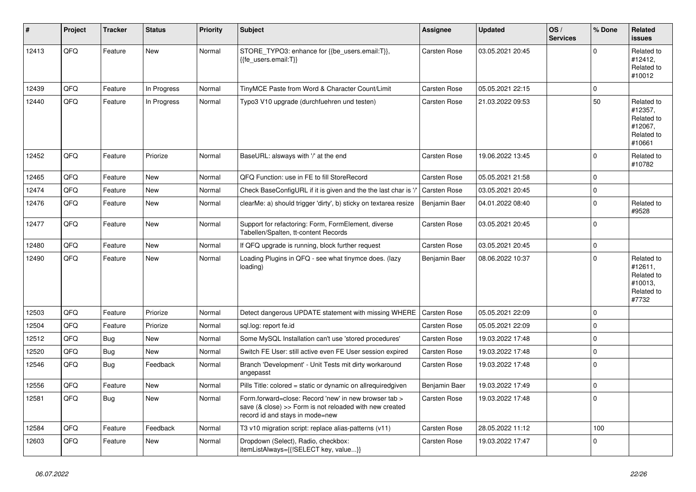| #     | Project | <b>Tracker</b> | <b>Status</b> | <b>Priority</b> | <b>Subject</b>                                                                                                                                      | Assignee            | <b>Updated</b>   | OS/<br><b>Services</b> | % Done      | Related<br><b>issues</b>                                               |
|-------|---------|----------------|---------------|-----------------|-----------------------------------------------------------------------------------------------------------------------------------------------------|---------------------|------------------|------------------------|-------------|------------------------------------------------------------------------|
| 12413 | QFQ     | Feature        | <b>New</b>    | Normal          | STORE_TYPO3: enhance for {{be_users.email:T}},<br>{{fe users.email:T}}                                                                              | Carsten Rose        | 03.05.2021 20:45 |                        | $\Omega$    | Related to<br>#12412,<br>Related to<br>#10012                          |
| 12439 | QFQ     | Feature        | In Progress   | Normal          | TinyMCE Paste from Word & Character Count/Limit                                                                                                     | <b>Carsten Rose</b> | 05.05.2021 22:15 |                        | $\mathbf 0$ |                                                                        |
| 12440 | QFQ     | Feature        | In Progress   | Normal          | Typo3 V10 upgrade (durchfuehren und testen)                                                                                                         | <b>Carsten Rose</b> | 21.03.2022 09:53 |                        | 50          | Related to<br>#12357,<br>Related to<br>#12067,<br>Related to<br>#10661 |
| 12452 | QFQ     | Feature        | Priorize      | Normal          | BaseURL: alsways with '/' at the end                                                                                                                | Carsten Rose        | 19.06.2022 13:45 |                        | $\mathbf 0$ | Related to<br>#10782                                                   |
| 12465 | QFQ     | Feature        | <b>New</b>    | Normal          | QFQ Function: use in FE to fill StoreRecord                                                                                                         | <b>Carsten Rose</b> | 05.05.2021 21:58 |                        | $\Omega$    |                                                                        |
| 12474 | QFQ     | Feature        | <b>New</b>    | Normal          | Check BaseConfigURL if it is given and the the last char is '/                                                                                      | Carsten Rose        | 03.05.2021 20:45 |                        | $\mathbf 0$ |                                                                        |
| 12476 | QFQ     | Feature        | <b>New</b>    | Normal          | clearMe: a) should trigger 'dirty', b) sticky on textarea resize                                                                                    | Benjamin Baer       | 04.01.2022 08:40 |                        | $\Omega$    | Related to<br>#9528                                                    |
| 12477 | QFQ     | Feature        | <b>New</b>    | Normal          | Support for refactoring: Form, FormElement, diverse<br>Tabellen/Spalten, tt-content Records                                                         | Carsten Rose        | 03.05.2021 20:45 |                        | $\Omega$    |                                                                        |
| 12480 | QFQ     | Feature        | <b>New</b>    | Normal          | If QFQ upgrade is running, block further request                                                                                                    | <b>Carsten Rose</b> | 03.05.2021 20:45 |                        | $\mathbf 0$ |                                                                        |
| 12490 | QFQ     | Feature        | <b>New</b>    | Normal          | Loading Plugins in QFQ - see what tinymce does. (lazy<br>loading)                                                                                   | Benjamin Baer       | 08.06.2022 10:37 |                        | $\mathbf 0$ | Related to<br>#12611,<br>Related to<br>#10013,<br>Related to<br>#7732  |
| 12503 | QFQ     | Feature        | Priorize      | Normal          | Detect dangerous UPDATE statement with missing WHERE                                                                                                | <b>Carsten Rose</b> | 05.05.2021 22:09 |                        | $\Omega$    |                                                                        |
| 12504 | QFQ     | Feature        | Priorize      | Normal          | sql.log: report fe.id                                                                                                                               | Carsten Rose        | 05.05.2021 22:09 |                        | $\mathbf 0$ |                                                                        |
| 12512 | QFQ     | Bug            | <b>New</b>    | Normal          | Some MySQL Installation can't use 'stored procedures'                                                                                               | <b>Carsten Rose</b> | 19.03.2022 17:48 |                        | $\Omega$    |                                                                        |
| 12520 | QFQ     | <b>Bug</b>     | <b>New</b>    | Normal          | Switch FE User: still active even FE User session expired                                                                                           | <b>Carsten Rose</b> | 19.03.2022 17:48 |                        | $\mathbf 0$ |                                                                        |
| 12546 | QFQ     | <b>Bug</b>     | Feedback      | Normal          | Branch 'Development' - Unit Tests mit dirty workaround<br>angepasst                                                                                 | Carsten Rose        | 19.03.2022 17:48 |                        | $\Omega$    |                                                                        |
| 12556 | QFQ     | Feature        | <b>New</b>    | Normal          | Pills Title: colored = static or dynamic on allrequiredgiven                                                                                        | Benjamin Baer       | 19.03.2022 17:49 |                        | $\mathbf 0$ |                                                                        |
| 12581 | QFQ     | Bug            | <b>New</b>    | Normal          | Form.forward=close: Record 'new' in new browser tab ><br>save (& close) >> Form is not reloaded with new created<br>record id and stays in mode=new | Carsten Rose        | 19.03.2022 17:48 |                        | $\mathbf 0$ |                                                                        |
| 12584 | QFQ     | Feature        | Feedback      | Normal          | T3 v10 migration script: replace alias-patterns (v11)                                                                                               | Carsten Rose        | 28.05.2022 11:12 |                        | 100         |                                                                        |
| 12603 | QFQ     | Feature        | <b>New</b>    | Normal          | Dropdown (Select), Radio, checkbox:<br>itemListAlways={{!SELECT key, value}}                                                                        | <b>Carsten Rose</b> | 19.03.2022 17:47 |                        | $\Omega$    |                                                                        |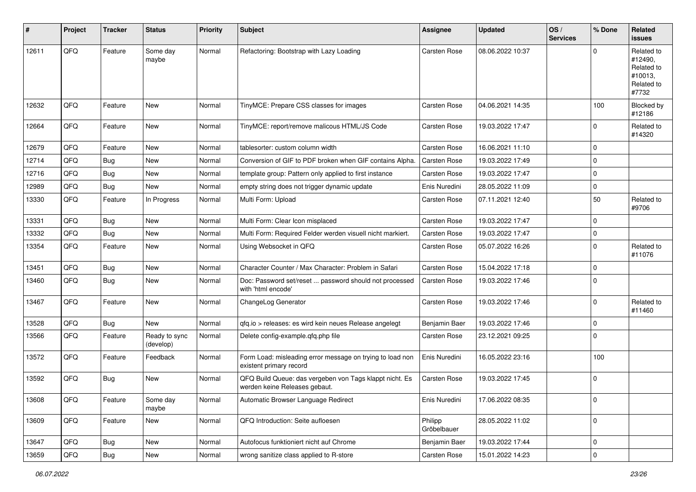| $\sharp$ | Project | <b>Tracker</b> | <b>Status</b>              | <b>Priority</b> | Subject                                                                                  | <b>Assignee</b>        | <b>Updated</b>   | OS/<br><b>Services</b> | % Done      | Related<br><b>issues</b>                                              |
|----------|---------|----------------|----------------------------|-----------------|------------------------------------------------------------------------------------------|------------------------|------------------|------------------------|-------------|-----------------------------------------------------------------------|
| 12611    | QFQ     | Feature        | Some day<br>maybe          | Normal          | Refactoring: Bootstrap with Lazy Loading                                                 | <b>Carsten Rose</b>    | 08.06.2022 10:37 |                        | O           | Related to<br>#12490,<br>Related to<br>#10013,<br>Related to<br>#7732 |
| 12632    | QFQ     | Feature        | New                        | Normal          | TinyMCE: Prepare CSS classes for images                                                  | Carsten Rose           | 04.06.2021 14:35 |                        | 100         | Blocked by<br>#12186                                                  |
| 12664    | QFQ     | Feature        | New                        | Normal          | TinyMCE: report/remove malicous HTML/JS Code                                             | Carsten Rose           | 19.03.2022 17:47 |                        | $\mathbf 0$ | Related to<br>#14320                                                  |
| 12679    | QFQ     | Feature        | New                        | Normal          | tablesorter: custom column width                                                         | Carsten Rose           | 16.06.2021 11:10 |                        | $\Omega$    |                                                                       |
| 12714    | QFQ     | <b>Bug</b>     | New                        | Normal          | Conversion of GIF to PDF broken when GIF contains Alpha.                                 | <b>Carsten Rose</b>    | 19.03.2022 17:49 |                        | $\Omega$    |                                                                       |
| 12716    | QFQ     | <b>Bug</b>     | New                        | Normal          | template group: Pattern only applied to first instance                                   | Carsten Rose           | 19.03.2022 17:47 |                        | $\mathbf 0$ |                                                                       |
| 12989    | QFQ     | Bug            | New                        | Normal          | empty string does not trigger dynamic update                                             | Enis Nuredini          | 28.05.2022 11:09 |                        | $\mathbf 0$ |                                                                       |
| 13330    | QFQ     | Feature        | In Progress                | Normal          | Multi Form: Upload                                                                       | Carsten Rose           | 07.11.2021 12:40 |                        | 50          | Related to<br>#9706                                                   |
| 13331    | QFQ     | Bug            | New                        | Normal          | Multi Form: Clear Icon misplaced                                                         | Carsten Rose           | 19.03.2022 17:47 |                        | $\mathbf 0$ |                                                                       |
| 13332    | QFQ     | Bug            | New                        | Normal          | Multi Form: Required Felder werden visuell nicht markiert.                               | <b>Carsten Rose</b>    | 19.03.2022 17:47 |                        | $\mathbf 0$ |                                                                       |
| 13354    | QFQ     | Feature        | New                        | Normal          | Using Websocket in QFQ                                                                   | Carsten Rose           | 05.07.2022 16:26 |                        | $\Omega$    | Related to<br>#11076                                                  |
| 13451    | QFQ     | Bug            | New                        | Normal          | Character Counter / Max Character: Problem in Safari                                     | Carsten Rose           | 15.04.2022 17:18 |                        | $\Omega$    |                                                                       |
| 13460    | QFQ     | Bug            | New                        | Normal          | Doc: Password set/reset  password should not processed<br>with 'html encode'             | <b>Carsten Rose</b>    | 19.03.2022 17:46 |                        | $\mathbf 0$ |                                                                       |
| 13467    | QFQ     | Feature        | <b>New</b>                 | Normal          | ChangeLog Generator                                                                      | <b>Carsten Rose</b>    | 19.03.2022 17:46 |                        | $\Omega$    | Related to<br>#11460                                                  |
| 13528    | QFQ     | <b>Bug</b>     | New                        | Normal          | qfq.io > releases: es wird kein neues Release angelegt                                   | Benjamin Baer          | 19.03.2022 17:46 |                        | $\mathbf 0$ |                                                                       |
| 13566    | QFQ     | Feature        | Ready to sync<br>(develop) | Normal          | Delete config-example.qfq.php file                                                       | Carsten Rose           | 23.12.2021 09:25 |                        | $\Omega$    |                                                                       |
| 13572    | QFQ     | Feature        | Feedback                   | Normal          | Form Load: misleading error message on trying to load non<br>existent primary record     | Enis Nuredini          | 16.05.2022 23:16 |                        | 100         |                                                                       |
| 13592    | QFQ     | Bug            | New                        | Normal          | QFQ Build Queue: das vergeben von Tags klappt nicht. Es<br>werden keine Releases gebaut. | Carsten Rose           | 19.03.2022 17:45 |                        | 0           |                                                                       |
| 13608    | QFQ     | Feature        | Some day<br>maybe          | Normal          | Automatic Browser Language Redirect                                                      | Enis Nuredini          | 17.06.2022 08:35 |                        | 0           |                                                                       |
| 13609    | QFQ     | Feature        | New                        | Normal          | QFQ Introduction: Seite aufloesen                                                        | Philipp<br>Gröbelbauer | 28.05.2022 11:02 |                        | 0           |                                                                       |
| 13647    | QFQ     | <b>Bug</b>     | New                        | Normal          | Autofocus funktioniert nicht auf Chrome                                                  | Benjamin Baer          | 19.03.2022 17:44 |                        | $\mathbf 0$ |                                                                       |
| 13659    | QFQ     | Bug            | New                        | Normal          | wrong sanitize class applied to R-store                                                  | Carsten Rose           | 15.01.2022 14:23 |                        | $\mathsf 0$ |                                                                       |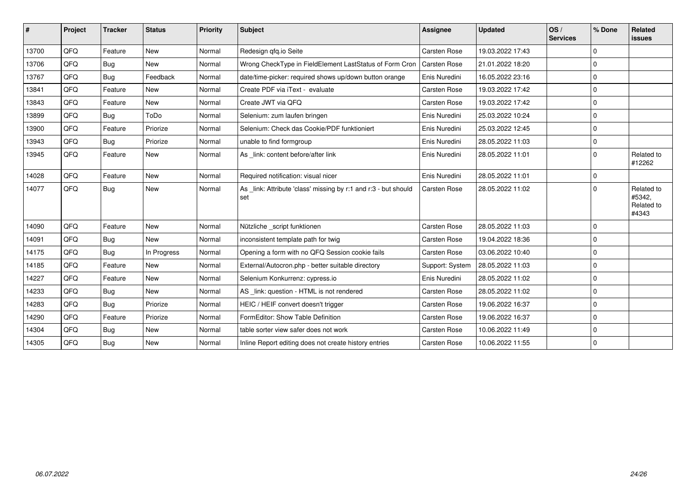| ∦     | Project | <b>Tracker</b> | <b>Status</b> | Priority | Subject                                                               | <b>Assignee</b>     | <b>Updated</b>   | OS/<br><b>Services</b> | ∣% Done     | Related<br>issues                           |
|-------|---------|----------------|---------------|----------|-----------------------------------------------------------------------|---------------------|------------------|------------------------|-------------|---------------------------------------------|
| 13700 | QFQ     | Feature        | <b>New</b>    | Normal   | Redesign gfg.io Seite                                                 | Carsten Rose        | 19.03.2022 17:43 |                        | 0           |                                             |
| 13706 | QFQ     | <b>Bug</b>     | <b>New</b>    | Normal   | Wrong CheckType in FieldElement LastStatus of Form Cron               | <b>Carsten Rose</b> | 21.01.2022 18:20 |                        | $\Omega$    |                                             |
| 13767 | QFQ     | Bug            | Feedback      | Normal   | date/time-picker: required shows up/down button orange                | Enis Nuredini       | 16.05.2022 23:16 |                        | 0           |                                             |
| 13841 | QFQ     | Feature        | New           | Normal   | Create PDF via iText - evaluate                                       | Carsten Rose        | 19.03.2022 17:42 |                        | $\Omega$    |                                             |
| 13843 | QFQ     | Feature        | <b>New</b>    | Normal   | Create JWT via QFQ                                                    | <b>Carsten Rose</b> | 19.03.2022 17:42 |                        | $\Omega$    |                                             |
| 13899 | QFQ     | <b>Bug</b>     | ToDo          | Normal   | Selenium: zum laufen bringen                                          | Enis Nuredini       | 25.03.2022 10:24 |                        | $\Omega$    |                                             |
| 13900 | QFQ     | Feature        | Priorize      | Normal   | Selenium: Check das Cookie/PDF funktioniert                           | Enis Nuredini       | 25.03.2022 12:45 |                        | 0           |                                             |
| 13943 | QFQ     | <b>Bug</b>     | Priorize      | Normal   | unable to find formgroup                                              | Enis Nuredini       | 28.05.2022 11:03 |                        | $\Omega$    |                                             |
| 13945 | QFQ     | Feature        | New           | Normal   | As _link: content before/after link                                   | Enis Nuredini       | 28.05.2022 11:01 |                        | $\Omega$    | Related to<br>#12262                        |
| 14028 | QFQ     | Feature        | <b>New</b>    | Normal   | Required notification: visual nicer                                   | Enis Nuredini       | 28.05.2022 11:01 |                        | $\Omega$    |                                             |
| 14077 | QFQ     | Bug            | <b>New</b>    | Normal   | As link: Attribute 'class' missing by r:1 and r:3 - but should<br>set | Carsten Rose        | 28.05.2022 11:02 |                        | $\Omega$    | Related to<br>#5342,<br>Related to<br>#4343 |
| 14090 | QFQ     | Feature        | New           | Normal   | Nützliche _script funktionen                                          | Carsten Rose        | 28.05.2022 11:03 |                        | $\mathbf 0$ |                                             |
| 14091 | QFQ     | Bug            | <b>New</b>    | Normal   | inconsistent template path for twig                                   | <b>Carsten Rose</b> | 19.04.2022 18:36 |                        | 0           |                                             |
| 14175 | QFQ     | Bug            | In Progress   | Normal   | Opening a form with no QFQ Session cookie fails                       | Carsten Rose        | 03.06.2022 10:40 |                        | $\Omega$    |                                             |
| 14185 | QFQ     | Feature        | <b>New</b>    | Normal   | External/Autocron.php - better suitable directory                     | Support: System     | 28.05.2022 11:03 |                        | $\Omega$    |                                             |
| 14227 | QFQ     | Feature        | New           | Normal   | Selenium Konkurrenz: cypress.io                                       | Enis Nuredini       | 28.05.2022 11:02 |                        | 0           |                                             |
| 14233 | QFQ     | Bug            | New           | Normal   | AS _link: question - HTML is not rendered                             | Carsten Rose        | 28.05.2022 11:02 |                        | $\Omega$    |                                             |
| 14283 | QFQ     | <b>Bug</b>     | Priorize      | Normal   | HEIC / HEIF convert doesn't trigger                                   | Carsten Rose        | 19.06.2022 16:37 |                        | $\Omega$    |                                             |
| 14290 | QFQ     | Feature        | Priorize      | Normal   | FormEditor: Show Table Definition                                     | <b>Carsten Rose</b> | 19.06.2022 16:37 |                        | $\Omega$    |                                             |
| 14304 | QFG     | <b>Bug</b>     | <b>New</b>    | Normal   | table sorter view safer does not work                                 | <b>Carsten Rose</b> | 10.06.2022 11:49 |                        | $\Omega$    |                                             |
| 14305 | QFQ     | Bug            | New           | Normal   | Inline Report editing does not create history entries                 | <b>Carsten Rose</b> | 10.06.2022 11:55 |                        | $\Omega$    |                                             |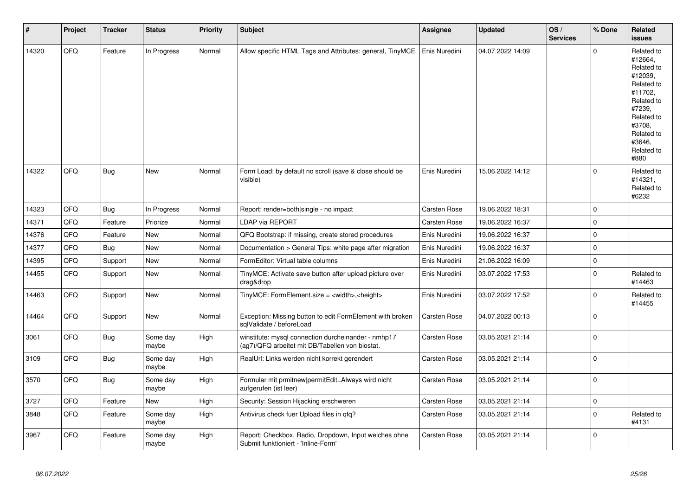| #     | Project | <b>Tracker</b> | <b>Status</b>     | Priority | <b>Subject</b>                                                                                         | <b>Assignee</b>     | <b>Updated</b>   | OS/<br><b>Services</b> | % Done              | Related<br><b>issues</b>                                                                                                                                              |
|-------|---------|----------------|-------------------|----------|--------------------------------------------------------------------------------------------------------|---------------------|------------------|------------------------|---------------------|-----------------------------------------------------------------------------------------------------------------------------------------------------------------------|
| 14320 | QFQ     | Feature        | In Progress       | Normal   | Allow specific HTML Tags and Attributes: general, TinyMCE                                              | Enis Nuredini       | 04.07.2022 14:09 |                        | $\Omega$            | Related to<br>#12664,<br>Related to<br>#12039,<br>Related to<br>#11702,<br>Related to<br>#7239,<br>Related to<br>#3708,<br>Related to<br>#3646.<br>Related to<br>#880 |
| 14322 | QFQ     | <b>Bug</b>     | New               | Normal   | Form Load: by default no scroll (save & close should be<br>visible)                                    | Enis Nuredini       | 15.06.2022 14:12 |                        | $\Omega$            | Related to<br>#14321,<br>Related to<br>#6232                                                                                                                          |
| 14323 | QFQ     | Bug            | In Progress       | Normal   | Report: render=both single - no impact                                                                 | Carsten Rose        | 19.06.2022 18:31 |                        | $\mathbf 0$         |                                                                                                                                                                       |
| 14371 | QFQ     | Feature        | Priorize          | Normal   | <b>LDAP via REPORT</b>                                                                                 | Carsten Rose        | 19.06.2022 16:37 |                        | $\Omega$            |                                                                                                                                                                       |
| 14376 | QFQ     | Feature        | <b>New</b>        | Normal   | QFQ Bootstrap: if missing, create stored procedures                                                    | Enis Nuredini       | 19.06.2022 16:37 |                        | $\mathbf 0$         |                                                                                                                                                                       |
| 14377 | QFQ     | <b>Bug</b>     | <b>New</b>        | Normal   | Documentation > General Tips: white page after migration                                               | Enis Nuredini       | 19.06.2022 16:37 |                        | $\mathbf 0$         |                                                                                                                                                                       |
| 14395 | QFQ     | Support        | <b>New</b>        | Normal   | FormEditor: Virtual table columns                                                                      | Enis Nuredini       | 21.06.2022 16:09 |                        | $\pmb{0}$           |                                                                                                                                                                       |
| 14455 | QFQ     | Support        | New               | Normal   | TinyMCE: Activate save button after upload picture over<br>drag&drop                                   | Enis Nuredini       | 03.07.2022 17:53 |                        | $\Omega$            | Related to<br>#14463                                                                                                                                                  |
| 14463 | QFQ     | Support        | <b>New</b>        | Normal   | TinyMCE: FormElement.size = <width>,<height></height></width>                                          | Enis Nuredini       | 03.07.2022 17:52 |                        | $\Omega$            | Related to<br>#14455                                                                                                                                                  |
| 14464 | QFQ     | Support        | New               | Normal   | Exception: Missing button to edit FormElement with broken<br>sqlValidate / beforeLoad                  | Carsten Rose        | 04.07.2022 00:13 |                        | $\Omega$            |                                                                                                                                                                       |
| 3061  | QFQ     | <b>Bug</b>     | Some day<br>maybe | High     | winstitute: mysql connection durcheinander - nmhp17<br>(ag7)/QFQ arbeitet mit DB/Tabellen von biostat. | Carsten Rose        | 03.05.2021 21:14 |                        | $\Omega$            |                                                                                                                                                                       |
| 3109  | QFQ     | Bug            | Some day<br>maybe | High     | RealUrl: Links werden nicht korrekt gerendert                                                          | Carsten Rose        | 03.05.2021 21:14 |                        | $\Omega$            |                                                                                                                                                                       |
| 3570  | QFQ     | Bug            | Some day<br>maybe | High     | Formular mit prmitnew permitEdit=Always wird nicht<br>aufgerufen (ist leer)                            | Carsten Rose        | 03.05.2021 21:14 |                        | $\Omega$            |                                                                                                                                                                       |
| 3727  | QFQ     | Feature        | New               | High     | Security: Session Hijacking erschweren                                                                 | Carsten Rose        | 03.05.2021 21:14 |                        | $\mathsf{O}\xspace$ |                                                                                                                                                                       |
| 3848  | QFQ     | Feature        | Some day<br>maybe | High     | Antivirus check fuer Upload files in qfq?                                                              | <b>Carsten Rose</b> | 03.05.2021 21:14 |                        | $\Omega$            | Related to<br>#4131                                                                                                                                                   |
| 3967  | QFQ     | Feature        | Some day<br>maybe | High     | Report: Checkbox, Radio, Dropdown, Input welches ohne<br>Submit funktioniert - 'Inline-Form'           | Carsten Rose        | 03.05.2021 21:14 |                        | $\Omega$            |                                                                                                                                                                       |